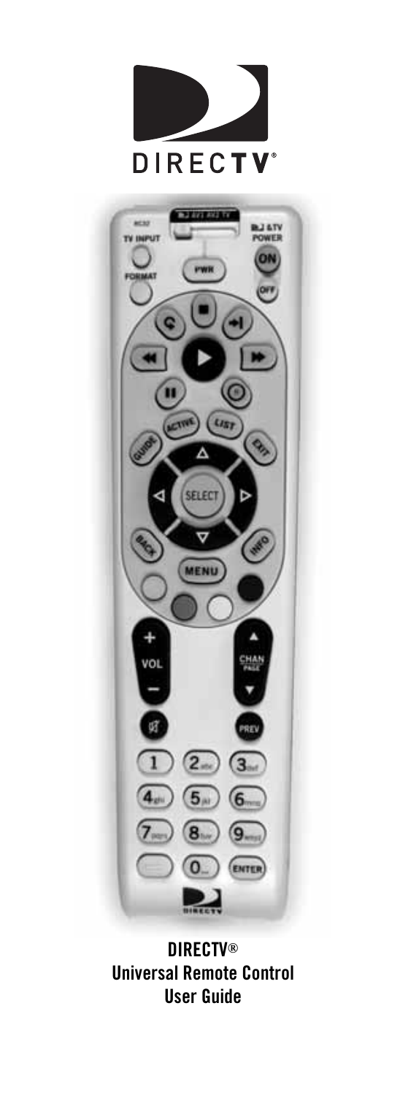



**DIRECTV® Universal Remote Control User Guide**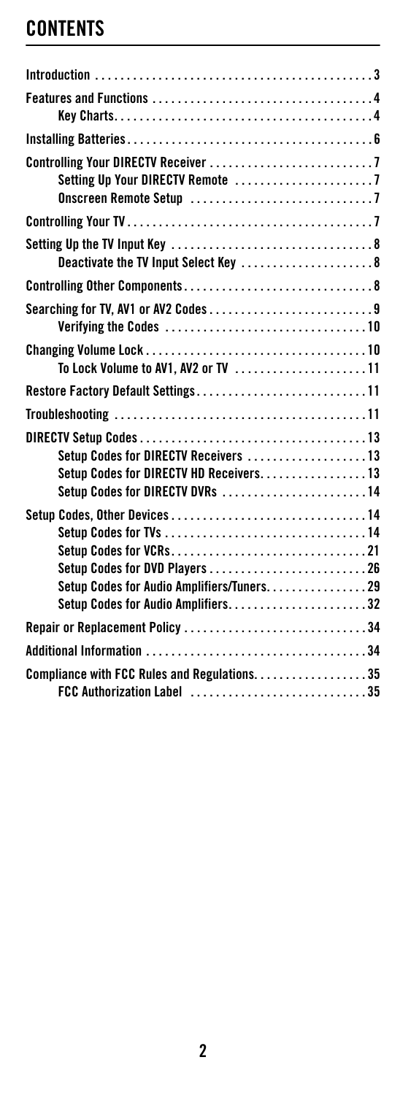## **CONTENTS**

| Setting Up Your DIRECTV Remote 7                                                                                  |
|-------------------------------------------------------------------------------------------------------------------|
|                                                                                                                   |
| Deactivate the TV Input Select Key 8                                                                              |
|                                                                                                                   |
| Searching for TV, AV1 or AV2 Codes9                                                                               |
| To Lock Volume to AV1, AV2 or TV 11                                                                               |
| Restore Factory Default Settings11                                                                                |
|                                                                                                                   |
| Setup Codes for DIRECTV Receivers 13<br>Setup Codes for DIRECTV HD Receivers13<br>Setup Codes for DIRECTV DVRs 14 |
| Setup Codes, Other Devices14<br>Setup Codes for Audio Amplifiers/Tuners29<br>Setup Codes for Audio Amplifiers32   |
| Repair or Replacement Policy 34                                                                                   |
|                                                                                                                   |
| Compliance with FCC Rules and Regulations. 35<br>FCC Authorization Label 35                                       |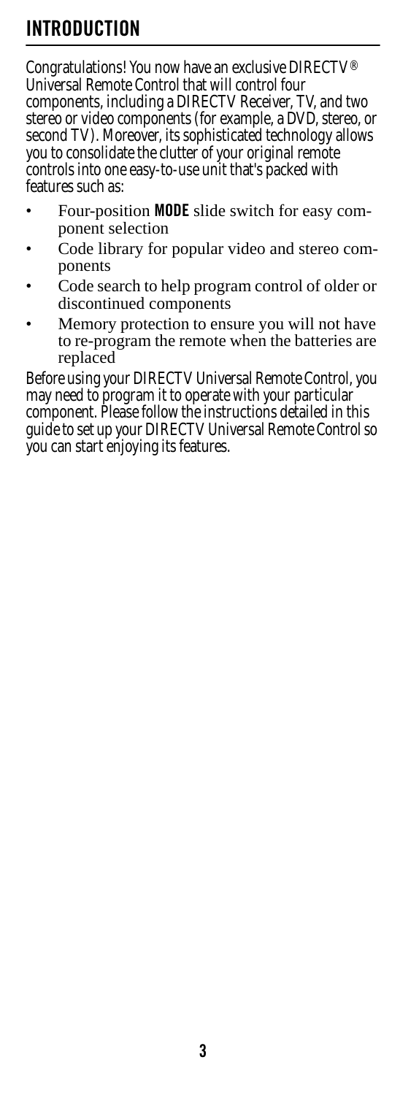## <span id="page-2-0"></span>**INTRODUCTION**

Congratulations! You now have an exclusive DIRECTV® Universal Remote Control that will control four components, including a DIRECTV Receiver, TV, and two stereo or video components (for example, a DVD, stereo, or second TV). Moreover, its sophisticated technology allows you to consolidate the clutter of your original remote controls into one easy-to-use unit that's packed with features such as:

- Four-position **MODE** slide switch for easy component selection
- Code library for popular video and stereo components
- Code search to help program control of older or discontinued components
- Memory protection to ensure you will not have to re-program the remote when the batteries are replaced

Before using your DIRECTV Universal Remote Control, you may need to program it to operate with your particular component. Please follow the instructions detailed in this guide to set up your DIRECTV Universal Remote Control so you can start enjoying its features.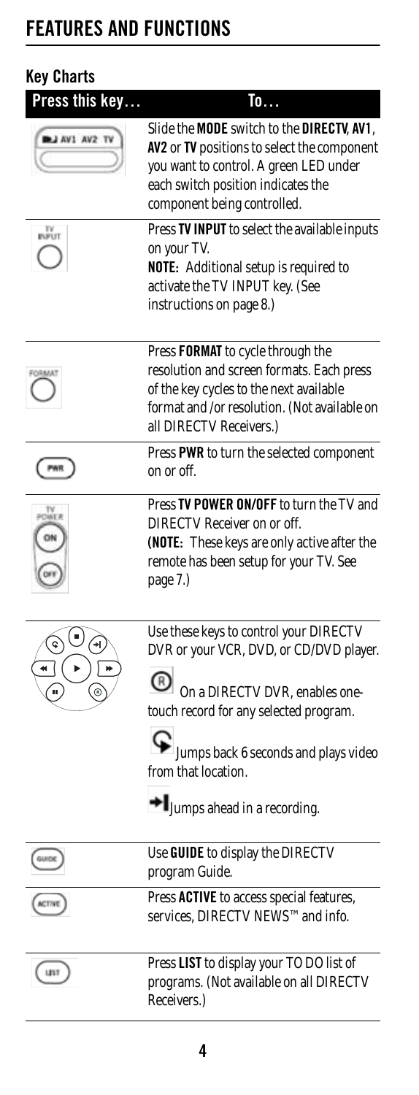# <span id="page-3-0"></span>**FEATURES AND FUNCTIONS**

<span id="page-3-1"></span>

| <b>Key Charts</b>               |                                                                                                                                                                                                                                                             |
|---------------------------------|-------------------------------------------------------------------------------------------------------------------------------------------------------------------------------------------------------------------------------------------------------------|
| Press this key<br>LI AV1 AV2 TV | To<br>Slide the MODE switch to the DIRECTV, AV1,<br>AV2 or TV positions to select the component<br>you want to control. A green LED under<br>each switch position indicates the<br>component being controlled.                                              |
| TV<br>INPUT                     | Press TV INPUT to select the available inputs<br>on your TV.<br><b>NOTE:</b> Additional setup is required to<br>activate the TV INPUT key. (See<br>instructions on page 8.)                                                                                 |
|                                 | Press FORMAT to cycle through the<br>resolution and screen formats. Each press<br>of the key cycles to the next available<br>format and /or resolution. (Not available on<br>all DIRECTV Receivers.)                                                        |
|                                 | Press PWR to turn the selected component<br>on or off.                                                                                                                                                                                                      |
|                                 | Press TV POWER ON/OFF to turn the TV and<br>DIRECTV Receiver on or off.<br>(NOTE: These keys are only active after the<br>remote has been setup for your TV. See<br>page 7.)                                                                                |
|                                 | Use these keys to control your DIRECTV<br>DVR or your VCR, DVD, or CD/DVD player.<br>On a DIRECTV DVR, enables one-<br>touch record for any selected program.<br>Jumps back 6 seconds and plays video<br>from that location.<br>Humps ahead in a recording. |
| (GUIDE)                         | Use GUIDE to display the DIRECTV<br>program Guide.                                                                                                                                                                                                          |
| ACTIVE                          | Press ACTIVE to access special features,<br>services, DIRECTV NEWS™ and info.                                                                                                                                                                               |
| <b>UST</b>                      | Press LIST to display your TO DO list of<br>programs. (Not available on all DIRECTV<br>Receivers.)                                                                                                                                                          |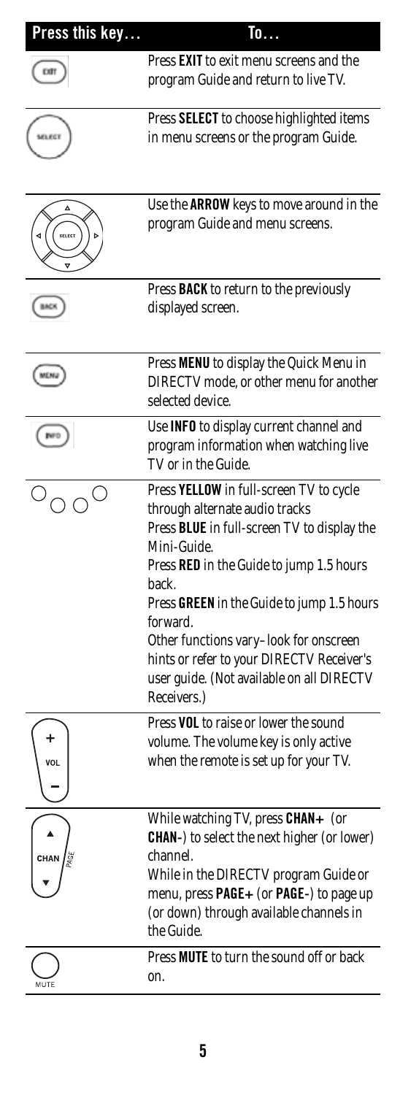| Press this key | To                                                                                                                                                                                                                                                                                                                                                                                                        |
|----------------|-----------------------------------------------------------------------------------------------------------------------------------------------------------------------------------------------------------------------------------------------------------------------------------------------------------------------------------------------------------------------------------------------------------|
|                | Press EXIT to exit menu screens and the<br>program Guide and return to live TV.                                                                                                                                                                                                                                                                                                                           |
| SELECT         | Press SELECT to choose highlighted items<br>in menu screens or the program Guide.                                                                                                                                                                                                                                                                                                                         |
| SELECT         | Use the <b>ARROW</b> keys to move around in the<br>program Guide and menu screens.                                                                                                                                                                                                                                                                                                                        |
|                | Press <b>BACK</b> to return to the previously<br>displayed screen.                                                                                                                                                                                                                                                                                                                                        |
| MEN,           | Press MENU to display the Quick Menu in<br>DIRECTV mode, or other menu for another<br>selected device.                                                                                                                                                                                                                                                                                                    |
|                | Use INFO to display current channel and<br>program information when watching live<br>TV or in the Guide.                                                                                                                                                                                                                                                                                                  |
|                | Press YELLOW in full-screen TV to cycle<br>through alternate audio tracks<br>Press BLUE in full-screen TV to display the<br>Mini-Guide.<br>Press RED in the Guide to jump 1.5 hours<br>back.<br>Press GREEN in the Guide to jump 1.5 hours<br>forward.<br>Other functions vary-look for onscreen<br>hints or refer to your DIRECTV Receiver's<br>user guide. (Not available on all DIRECTV<br>Receivers.) |
| VOL            | Press VOL to raise or lower the sound<br>volume. The volume key is only active<br>when the remote is set up for your TV.                                                                                                                                                                                                                                                                                  |
| CHAN           | While watching TV, press CHAN+<br>(or<br><b>CHAN-</b> ) to select the next higher (or lower)<br>channel.<br>While in the DIRECTV program Guide or<br>menu, press PAGE+ (or PAGE-) to page up<br>(or down) through available channels in<br>the Guide.                                                                                                                                                     |
|                | Press <b>MUTE</b> to turn the sound off or back<br>on.                                                                                                                                                                                                                                                                                                                                                    |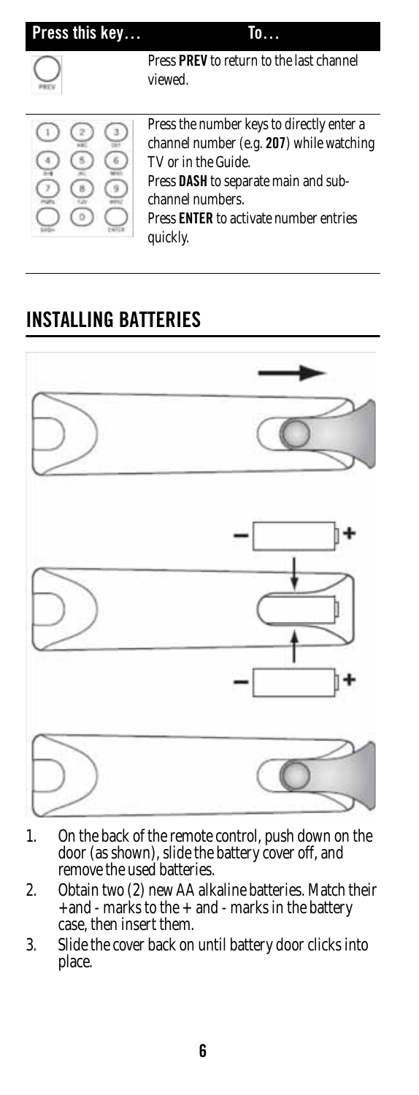| Press this key |                                                                                                                                                                                                                                       |
|----------------|---------------------------------------------------------------------------------------------------------------------------------------------------------------------------------------------------------------------------------------|
|                | Press PREV to return to the last channel<br>viewed.                                                                                                                                                                                   |
|                | Press the number keys to directly enter a<br>channel number (e.g. 207) while watching<br>TV or in the Guide.<br>Press DASH to separate main and sub-<br>channel numbers.<br>Press <b>ENTER</b> to activate number entries<br>quickly. |

## <span id="page-5-0"></span>**INSTALLING BATTERIES**



- 1. On the back of the remote control, push down on the door (as shown), slide the battery cover off, and remove the used batteries.
- 2. Obtain two (2) new AA alkaline batteries. Match their +and - marks to the + and - marks in the battery case, then insert them.
- 3. Slide the cover back on until battery door clicks into place.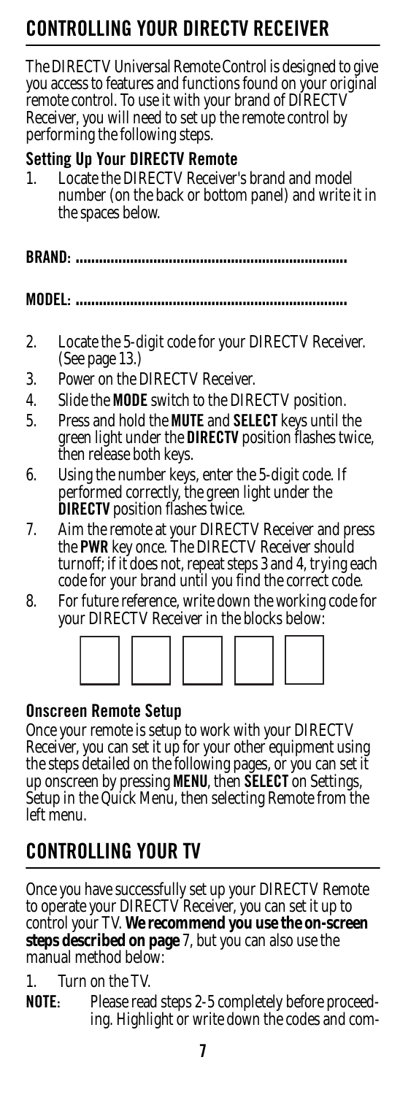# <span id="page-6-0"></span>**CONTROLLING YOUR DIRECTV RECEIVER**

The DIRECTV Universal Remote Control is designed to give you access to features and functions found on your original remote control. To use it with your brand of DIRECTV Receiver, you will need to set up the remote control by performing the following steps.

#### <span id="page-6-1"></span>**Setting Up Your DIRECTV Remote**

1. Locate the DIRECTV Receiver's brand and model number (on the back or bottom panel) and write it in the spaces below.

**BRAND: ......................................................................**

**MODEL: ......................................................................**

- 2. Locate the 5-digit code for your DIRECTV Receiver. (See page [13](#page-12-0).)
- 3. Power on the DIRECTV Receiver.
- 4. Slide the **MODE** switch to the DIRECTV position.
- 5. Press and hold the **MUTE** and **SELECT** keys until the green light under the **DIRECTV** position flashes twice, then release both keys.
- 6. Using the number keys, enter the 5-digit code. If performed correctly, the green light under the **DIRECTV** position flashes twice.
- 7. Aim the remote at your DIRECTV Receiver and press the **PWR** key once. The DIRECTV Receiver should turnoff; if it does not, repeat steps 3 and 4, trying each code for your brand until you find the correct code.
- 8. For future reference, write down the working code for your DIRECTV Receiver in the blocks below:



#### <span id="page-6-2"></span>**Onscreen Remote Setup**

Once your remote is setup to work with your DIRECTV Receiver, you can set it up for your other equipment using the steps detailed on the following pages, or you can set it up onscreen by pressing **MENU**, then **SELECT** on Settings, Setup in the Quick Menu, then selecting Remote from the left menu.

## <span id="page-6-3"></span>**CONTROLLING YOUR TV**

Once you have successfully set up your DIRECTV Remote to operate your DIRECTV Receiver, you can set it up to control your TV. **We recommend you use the on-screen steps described on page** [7,](#page-6-2) but you can also use the manual method below:

1. Turn on the TV.

**NOTE:** Please read steps 2-5 completely before proceeding. Highlight or write down the codes and com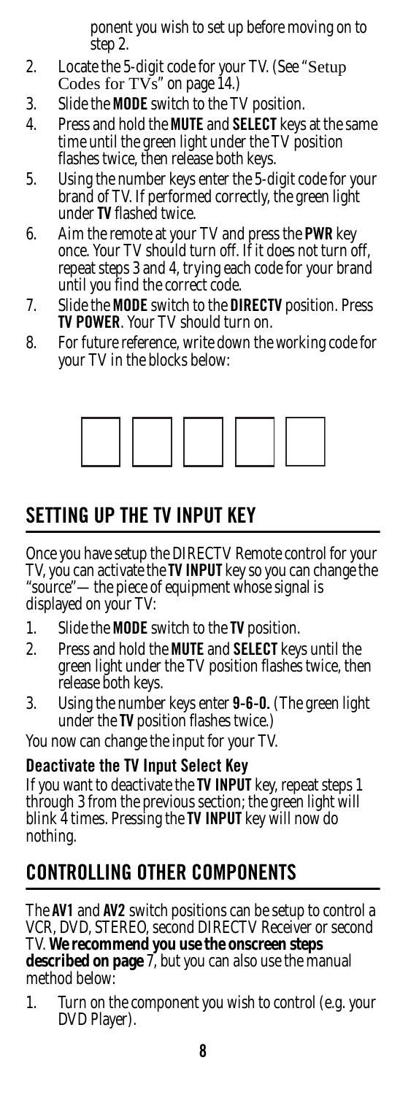ponent you wish to set up before moving on to step 2.

- 2. Locate the 5-digit code for your TV. (See "[Setup](#page-13-2)  Codes for  $TVs$ " on page 14.)
- 3. Slide the **MODE** switch to the TV position.
- 4. Press and hold the **MUTE** and **SELECT** keys at the same time until the green light under the TV position flashes twice, then release both keys.
- 5. Using the number keys enter the 5-digit code for your brand of TV. If performed correctly, the green light under **TV** flashed twice.
- 6. Aim the remote at your TV and press the **PWR** key once. Your TV should turn off. If it does not turn off, repeat steps 3 and 4, trying each code for your brand until you find the correct code.
- 7. Slide the **MODE** switch to the **DIRECTV** position. Press **TV POWER**. Your TV should turn on.
- 8. For future reference, write down the working code for your TV in the blocks below:



### <span id="page-7-0"></span>**SETTING UP THE TV INPUT KEY**

Once you have setup the DIRECTV Remote control for your TV, you can activate the **TV INPUT** key so you can change the "source"—the piece of equipment whose signal is displayed on your TV:

- 1. Slide the **MODE** switch to the **TV** position.
- 2. Press and hold the **MUTE** and **SELECT** keys until the green light under the TV position flashes twice, then release both keys.
- 3. Using the number keys enter **9-6-0.** (The green light under the **TV** position flashes twice.)

You now can change the input for your TV.

#### <span id="page-7-1"></span>**Deactivate the TV Input Select Key**

If you want to deactivate the **TV INPUT** key, repeat steps 1 through 3 from the previous section; the green light will blink 4 times. Pressing the **TV INPUT** key will now do nothing.

### <span id="page-7-2"></span>**CONTROLLING OTHER COMPONENTS**

The **AV1** and **AV2** switch positions can be setup to control a VCR, DVD, STEREO, second DIRECTV Receiver or second TV. **We recommend you use the onscreen steps described on page** [7,](#page-6-2) but you can also use the manual method below:

1. Turn on the component you wish to control (e.g. your DVD Player).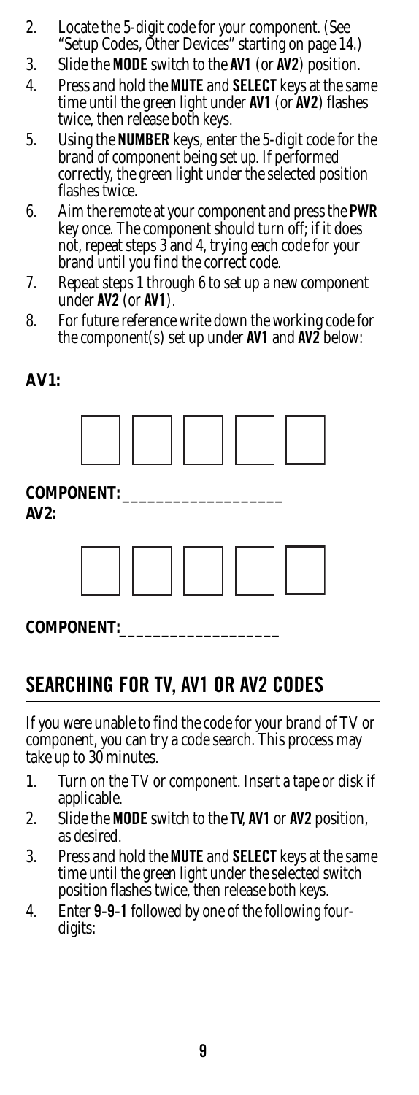- 2. Locate the 5-digit code for your component. (See ["Setup Codes, Other Devices" starting on page 14](#page-13-1).)
- 3. Slide the **MODE** switch to the **AV1** (or **AV2**) position.
- 4. Press and hold the **MUTE** and **SELECT** keys at the same time until the green light under **AV1** (or **AV2**) flashes twice, then release both keys.
- 5. Using the **NUMBER** keys, enter the 5-digit code for the brand of component being set up. If performed correctly, the green light under the selected position flashes twice.
- 6. Aim the remote at your component and press the **PWR** key once. The component should turn off; if it does not, repeat steps 3 and 4, trying each code for your brand until you find the correct code.
- 7. Repeat steps 1 through 6 to set up a new component under **AV2** (or **AV1**).
- 8. For future reference write down the working code for the component(s) set up under **AV1** and **AV2** below:

#### **AV1:**



#### **COMPONENT:**\_\_\_\_\_\_\_\_\_\_\_\_\_\_\_\_\_\_\_

### <span id="page-8-0"></span>**SEARCHING FOR TV, AV1 OR AV2 CODES**

If you were unable to find the code for your brand of TV or component, you can try a code search. This process may take up to 30 minutes.

- 1. Turn on the TV or component. Insert a tape or disk if applicable.
- 2. Slide the **MODE** switch to the **TV**, **AV1** or **AV2** position, as desired.
- 3. Press and hold the **MUTE** and **SELECT** keys at the same time until the green light under the selected switch position flashes twice, then release both keys.
- 4. Enter **9-9-1** followed by one of the following fourdigits: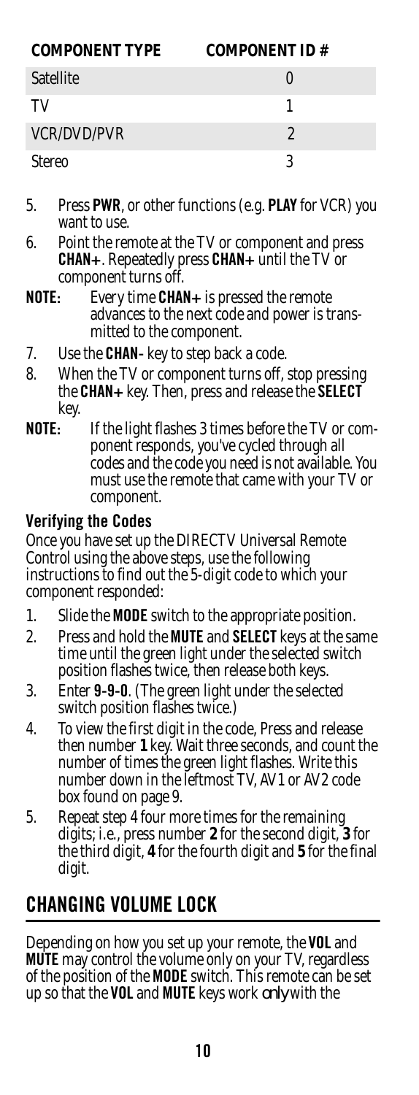| <b>COMPONENT TYPE</b> | <b>COMPONENT ID#</b> |
|-----------------------|----------------------|
| Satellite             |                      |
| TV                    |                      |
| <b>VCR/DVD/PVR</b>    | 2                    |
| Stereo                |                      |

- 5. Press **PWR**, or other functions (e.g. **PLAY** for VCR) you want to use.
- 6. Point the remote at the TV or component and press **CHAN+**. Repeatedly press **CHAN+** until the TV or component turns off.
- **NOTE:** Every time **CHAN+** is pressed the remote advances to the next code and power is transmitted to the component.
- 7. Use the **CHAN-** key to step back a code.
- 8. When the TV or component turns off, stop pressing the **CHAN+** key. Then, press and release the **SELECT** key.
- **NOTE:** If the light flashes 3 times before the TV or component responds, you've cycled through all codes and the code you need is not available. You must use the remote that came with your TV or component.

#### <span id="page-9-0"></span>**Verifying the Codes**

Once you have set up the DIRECTV Universal Remote Control using the above steps, use the following instructions to find out the 5-digit code to which your component responded:

- 1. Slide the **MODE** switch to the appropriate position.
- 2. Press and hold the **MUTE** and **SELECT** keys at the same time until the green light under the selected switch position flashes twice, then release both keys.
- 3. Enter **9-9-0**. (The green light under the selected switch position flashes twice.)
- 4. To view the first digit in the code, Press and release then number **1** key. Wait three seconds, and count the number of times the green light flashes. Write this number down in the leftmost TV, AV1 or AV2 code box found on page [9](#page-8-0).
- 5. Repeat step 4 four more times for the remaining digits; i.e., press number **2** for the second digit, **3** for the third digit, **4** for the fourth digit and **5** for the final digit.

## <span id="page-9-1"></span>**CHANGING VOLUME LOCK**

Depending on how you set up your remote, the **VOL** and **MUTE** may control the volume only on your TV, regardless of the position of the **MODE** switch. This remote can be set up so that the **VOL** and **MUTE** keys work *only* with the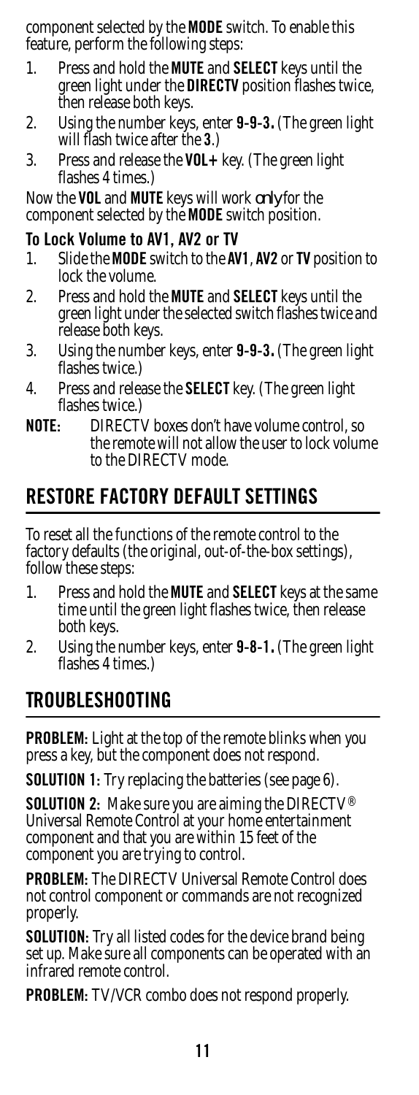component selected by the **MODE** switch. To enable this feature, perform the following steps:

- 1. Press and hold the **MUTE** and **SELECT** keys until the green light under the **DIRECTV** position flashes twice, then release both keys.
- 2. Using the number keys, enter **9-9-3.** (The green light will flash twice after the **3**.)
- 3. Press and release the **VOL+** key. (The green light flashes 4 times.)

Now the **VOL** and **MUTE** keys will work *only* for the component selected by the **MODE** switch position.

#### <span id="page-10-0"></span>**To Lock Volume to AV1, AV2 or TV**

- 1. Slide the **MODE** switch to the **AV1**, **AV2** or **TV** position to lock the volume.
- 2. Press and hold the **MUTE** and **SELECT** keys until the green light under the selected switch flashes twice and release both keys.
- 3. Using the number keys, enter **9-9-3.** (The green light flashes twice.)
- 4. Press and release the **SELECT** key. (The green light flashes twice.)
- **NOTE:** DIRECTV boxes don't have volume control, so the remote will not allow the user to lock volume to the DIRECTV mode.

### <span id="page-10-1"></span>**RESTORE FACTORY DEFAULT SETTINGS**

To reset all the functions of the remote control to the factory defaults (the original, out-of-the-box settings), follow these steps:

- 1. Press and hold the **MUTE** and **SELECT** keys at the same time until the green light flashes twice, then release both keys.
- 2. Using the number keys, enter **9-8-1.** (The green light flashes 4 times.)

### <span id="page-10-2"></span>**TROUBLESHOOTING**

**PROBLEM:** Light at the top of the remote blinks when you press a key, but the component does not respond.

**SOLUTION 1:** Try replacing the batteries (see page [6](#page-5-0)).

**SOLUTION 2:** Make sure you are aiming the DIRECTV® Universal Remote Control at your home entertainment component and that you are within 15 feet of the component you are trying to control.

**PROBLEM:** The DIRECTV Universal Remote Control does not control component or commands are not recognized properly.

**SOLUTION:** Try all listed codes for the device brand being set up. Make sure all components can be operated with an infrared remote control.

**PROBLEM:** TV/VCR combo does not respond properly.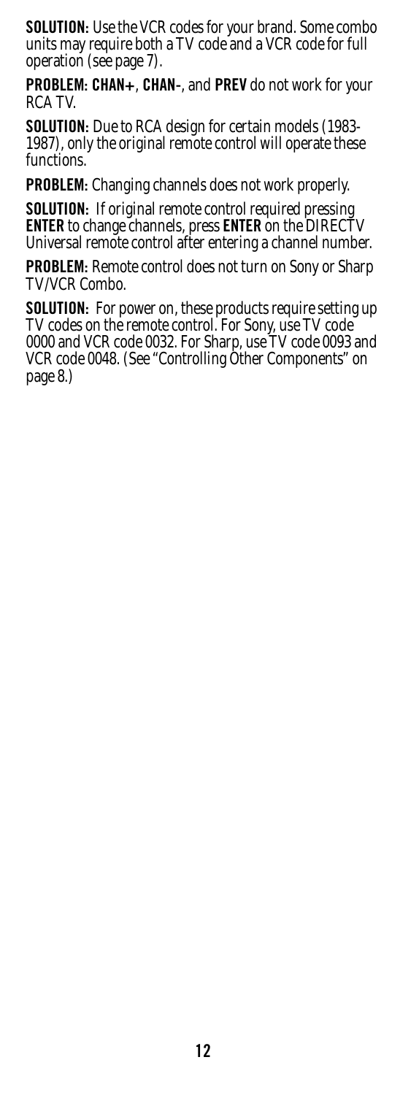**SOLUTION:** Use the VCR codes for your brand. Some combo units may require both a TV code and a VCR code for full operation (see page [7\)](#page-6-3).

**PROBLEM: CHAN+**, **CHAN-**, and **PREV** do not work for your RCA TV.

**SOLUTION:** Due to RCA design for certain models (1983-1987), only the original remote control will operate these functions.

**PROBLEM:** Changing channels does not work properly.

**SOLUTION:** If original remote control required pressing **ENTER** to change channels, press **ENTER** on the DIRECTV Universal remote control after entering a channel number.

**PROBLEM:** Remote control does not turn on Sony or Sharp TV/VCR Combo.

**SOLUTION:** For power on, these products require setting up TV codes on the remote control. For Sony, use TV code 0000 and VCR code 0032. For Sharp, use TV code 0093 and VCR code 0048. (See ["Controlling Other Components" on](#page-7-2)  [page 8.](#page-7-2))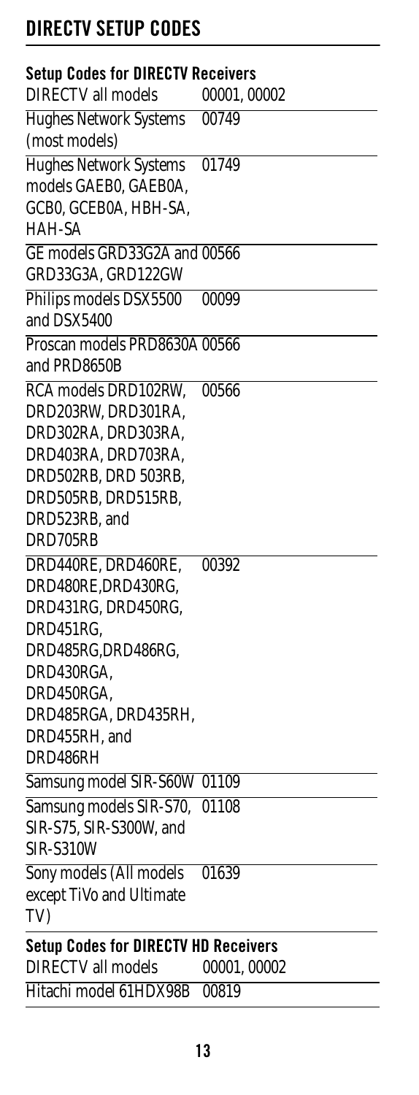# <span id="page-12-0"></span>**DIRECTV SETUP CODES**

<span id="page-12-2"></span><span id="page-12-1"></span>

| <b>Setup Codes for DIRECTV Receivers</b>    |             |
|---------------------------------------------|-------------|
| <b>DIRECTV</b> all models                   | 00001,00002 |
| <b>Hughes Network Systems</b>               | 00749       |
| (most models)                               |             |
| <b>Hughes Network Systems</b>               | 01749       |
| models GAEB0, GAEB0A,                       |             |
| GCB0, GCEB0A, HBH-SA,                       |             |
| HAH-SA                                      |             |
| GE models GRD33G2A and 00566                |             |
| GRD33G3A, GRD122GW                          |             |
| Philips models DSX5500                      | 00099       |
| and DSX5400                                 |             |
| Proscan models PRD8630A 00566               |             |
| and PRD8650B                                |             |
| RCA models DRD102RW,                        | 00566       |
| DRD203RW, DRD301RA,                         |             |
| DRD302RA, DRD303RA,                         |             |
| DRD403RA, DRD703RA,                         |             |
| DRD502RB, DRD 503RB,                        |             |
| DRD505RB, DRD515RB,                         |             |
| DRD523RB, and                               |             |
| DRD705RB                                    |             |
| DRD440RE, DRD460RE,                         | 00392       |
| DRD480RE, DRD430RG,                         |             |
| DRD431RG, DRD450RG,                         |             |
| DRD451RG,                                   |             |
| DRD485RG, DRD486RG,                         |             |
| DRD430RGA,                                  |             |
| DRD450RGA,                                  |             |
| DRD485RGA, DRD435RH,                        |             |
| DRD455RH, and                               |             |
| DRD486RH                                    |             |
| Samsung model SIR-S60W 01109                |             |
| Samsung models SIR-S70,                     | 01108       |
| SIR-S75, SIR-S300W, and                     |             |
| SIR-S310W                                   |             |
| Sony models (All models                     | 01639       |
| except TiVo and Ultimate                    |             |
| TV)                                         |             |
| <b>Setup Codes for DIRECTV HD Receivers</b> |             |
| <b>DIRECTV</b> all models                   | 00001,00002 |
| Hitachi model 61HDX98B                      | 00819       |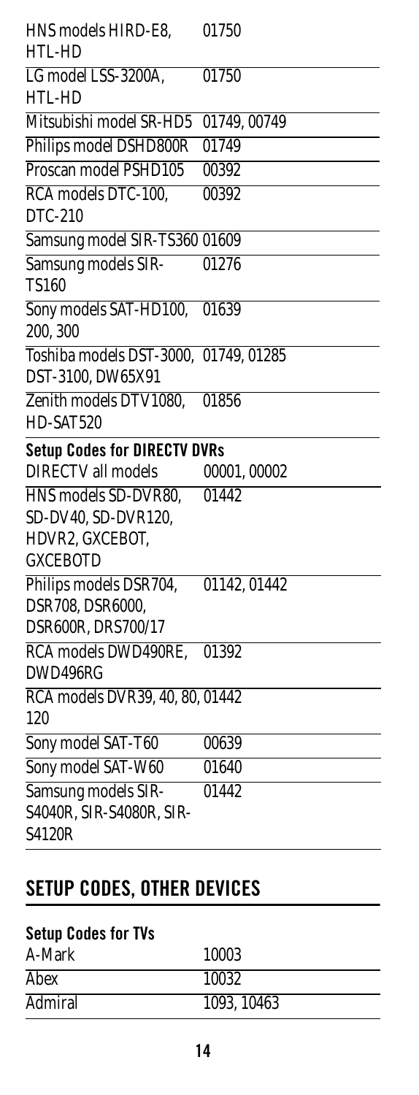<span id="page-13-0"></span>

| HNS models HIRD-E8,<br>HTL-HD                                    | 01750        |
|------------------------------------------------------------------|--------------|
| LG model LSS-3200A,<br>HTL-HD                                    | 01750        |
| Mitsubishi model SR-HD5                                          | 01749, 00749 |
| Philips model DSHD800R                                           | 01749        |
| Proscan model PSHD105                                            | 00392        |
| RCA models DTC-100,<br>DTC-210                                   | 00392        |
| Samsung model SIR-TS360 01609                                    |              |
| Samsung models SIR-<br><b>TS160</b>                              | 01276        |
| Sony models SAT-HD100,<br>200, 300                               | 01639        |
| Toshiba models DST-3000, 01749, 01285<br>DST-3100, DW65X91       |              |
| Zenith models DTV1080,<br>HD-SAT520                              | 01856        |
| <b>Setup Codes for DIRECTV DVRs</b>                              |              |
| <b>DIRECTV</b> all models                                        | 00001,00002  |
| HNS models SD-DVR80,                                             | 01442        |
| SD-DV40, SD-DVR120,                                              |              |
| HDVR2, GXCEBOT,                                                  |              |
| <b>GXCEBOTD</b>                                                  |              |
| Philips models DSR704,<br>DSR708, DSR6000,<br>DSR600R, DRS700/17 | 01142, 01442 |
| RCA models DWD490RE,                                             | 01392        |
| DWD496RG                                                         |              |
| RCA models DVR39, 40, 80, 01442<br>120                           |              |
| Sony model SAT-T60                                               | 00639        |
| Sony model SAT-W60                                               | 01640        |
| Samsung models SIR-                                              | 01442        |
| S4040R, SIR-S4080R, SIR-<br>S4120R                               |              |

# <span id="page-13-1"></span>**SETUP CODES, OTHER DEVICES**

### <span id="page-13-2"></span>**Setup Codes for TVs**

| A-Mark  | 10003       |
|---------|-------------|
| Abex    | 10032       |
| Admiral | 1093, 10463 |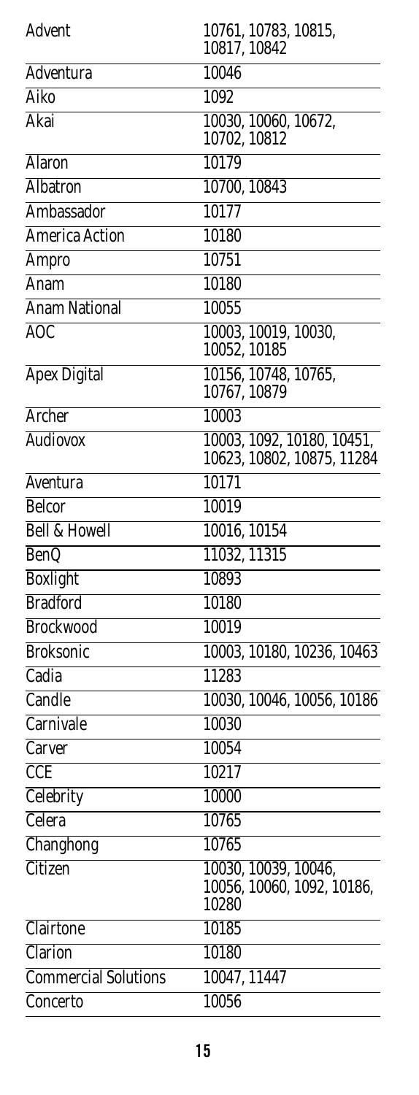| Advent                      | 10761, 10783, 10815,<br>10817, 10842                        |
|-----------------------------|-------------------------------------------------------------|
| Adventura                   | 10046                                                       |
| Aiko                        | 1092                                                        |
| Akai                        | 10030, 10060, 10672,<br>10702, 10812                        |
| <b>Alaron</b>               | 10179                                                       |
| <b>Albatron</b>             | 10700, 10843                                                |
| Ambassador                  | 10177                                                       |
| <b>America Action</b>       | 10180                                                       |
| Ampro                       | 10751                                                       |
| Anam                        | 10180                                                       |
| <b>Anam National</b>        | 10055                                                       |
| AOC                         | 10003, 10019, 10030,<br>10052, 10185                        |
| <b>Apex Digital</b>         | 10156, 10748, 10765,<br>10767, 10879                        |
| <b>Archer</b>               | 10003                                                       |
| <b>Audiovox</b>             | 10003, 1092, 10180, 10451,<br>10623, 10802, 10875, 11284    |
| Aventura                    | 10171                                                       |
| <b>Belcor</b>               | 10019                                                       |
| <b>Bell &amp; Howell</b>    | 10016, 10154                                                |
| <b>BenQ</b>                 | 11032, 11315                                                |
| <b>Boxlight</b>             | 10893                                                       |
| <b>Bradford</b>             | 10180                                                       |
| <b>Brockwood</b>            | 10019                                                       |
| <b>Broksonic</b>            | 10003, 10180, 10236, 10463                                  |
| Cadia                       | 11283                                                       |
| Candle                      | 10030, 10046, 10056, 10186                                  |
| Carnivale                   | 10030                                                       |
| Carver                      | 10054                                                       |
| <b>CCE</b>                  | 10217                                                       |
| Celebrity                   | 10000                                                       |
| Celera                      | 10765                                                       |
| Changhong                   | 10765                                                       |
| Citizen                     | 10030, 10039, 10046,<br>10056, 10060, 1092, 10186,<br>10280 |
| Clairtone                   | 10185                                                       |
| Clarion                     | 10180                                                       |
| <b>Commercial Solutions</b> | 10047, 11447                                                |
| Concerto                    | 10056                                                       |
|                             |                                                             |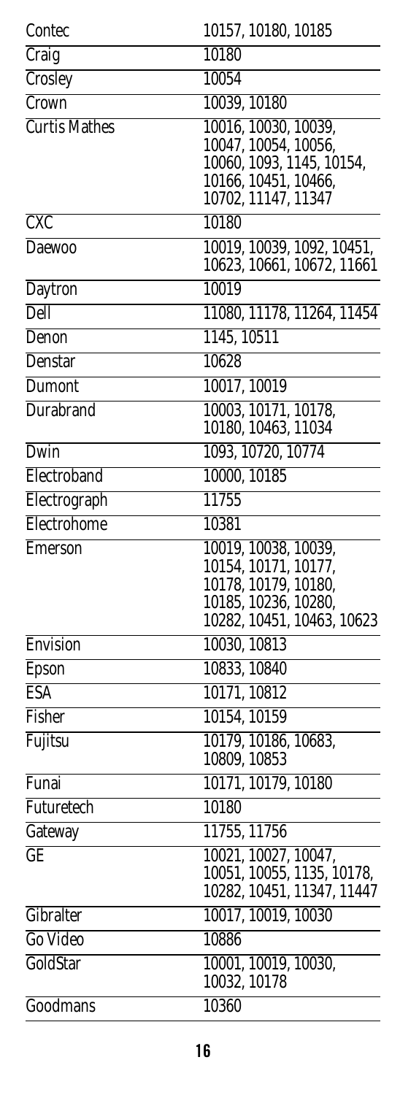| Contec               | 10157, 10180, 10185                                                                                                        |
|----------------------|----------------------------------------------------------------------------------------------------------------------------|
| Craig                | 10180                                                                                                                      |
| Crosley              | 10054                                                                                                                      |
| Crown                | 10039, 10180                                                                                                               |
| <b>Curtis Mathes</b> | 10016, 10030, 10039,<br>10047, 10054, 10056,<br>10060, 1093, 1145, 10154,<br>10166, 10451, 10466,<br>10702, 11147, 11347   |
| <b>CXC</b>           | 10180                                                                                                                      |
| <b>Daewoo</b>        | 10019, 10039, 1092, $\overline{10451}$ ,<br>10623, 10661, 10672, 11661                                                     |
| Daytron              | 10019                                                                                                                      |
| Dell                 | 11080, 11178, 11264, 11454                                                                                                 |
| Denon                | 1145, 10511                                                                                                                |
| <b>Denstar</b>       | 10628                                                                                                                      |
| Dumont               | 10017, 10019                                                                                                               |
| <b>Durabrand</b>     | 10003, 10171, 10178,<br>10180, 10463, 11034                                                                                |
| Dwin                 | 1093, 10720, 10774                                                                                                         |
| Electroband          | 10000, 10185                                                                                                               |
| Electrograph         | 11755                                                                                                                      |
| Electrohome          | 10381                                                                                                                      |
| Emerson              | 10019, 10038, 10039,<br>10154, 10171, 10177,<br>10178, 10179, 10180,<br>10185, 10236, 10280,<br>10282, 10451, 10463, 10623 |
| Envision             | 10030, 10813                                                                                                               |
| Epson                | 10833, 10840                                                                                                               |
| <b>ESA</b>           | 10171, 10812                                                                                                               |
| Fisher               | 10154, 10159                                                                                                               |
| Fujitsu              | 10179, 10186, 10683,<br>10809, 10853                                                                                       |
| Funai                | 10171, 10179, 10180                                                                                                        |
| Futuretech           | 10180                                                                                                                      |
| Gateway              | 11755, 11756                                                                                                               |
| GE                   | 10021, 10027, 10047,<br>10051, 10055, 1135, 10178,<br>10282, 10451, 11347, 11447                                           |
| Gibralter            | 10017, 10019, 10030                                                                                                        |
| Go Video             | 10886                                                                                                                      |
| GoldStar             | 10001, 10019, 10030,<br>10032, 10178                                                                                       |
| Goodmans             | 10360                                                                                                                      |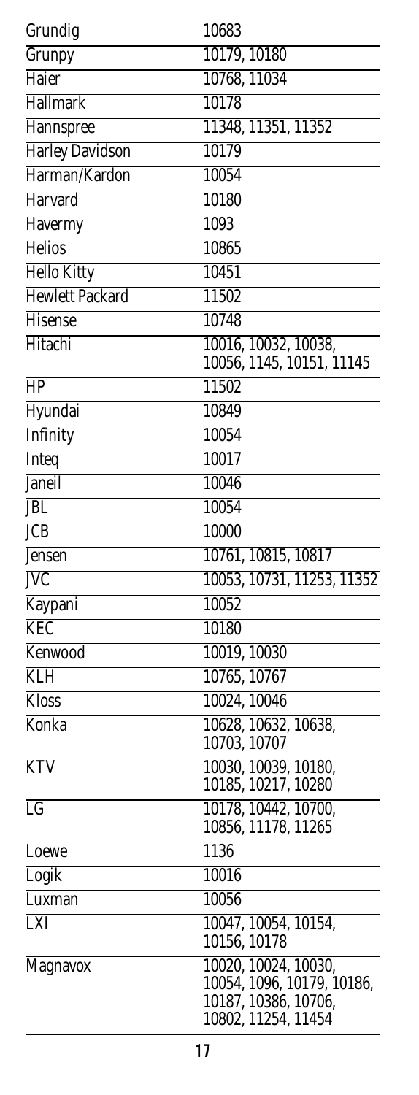| Grundig                 | 10683                                                                                             |
|-------------------------|---------------------------------------------------------------------------------------------------|
| Grunpy                  | 10179, 10180                                                                                      |
| Haier                   | 10768, 11034                                                                                      |
| Hallmark                | 10178                                                                                             |
| Hannspree               | 11348, 11351, 11352                                                                               |
| <b>Harley Davidson</b>  | 10179                                                                                             |
| Harman/Kardon           | 10054                                                                                             |
| Harvard                 | 10180                                                                                             |
| Havermy                 | 1093                                                                                              |
| <b>Helios</b>           | 10865                                                                                             |
| <b>Hello Kitty</b>      | 10451                                                                                             |
| <b>Hewlett Packard</b>  | 11502                                                                                             |
| Hisense                 | 10748                                                                                             |
| Hitachi                 | 10016, 10032, 10038,                                                                              |
|                         | 10056, 1145, 10151, 11145                                                                         |
| HP                      | 11502                                                                                             |
| Hyundai                 | 10849                                                                                             |
| Infinity                | 10054                                                                                             |
| <b>Inteq</b>            | 10017                                                                                             |
| Janeil                  | 10046                                                                                             |
| <b>JBL</b>              | 10054                                                                                             |
| <b>JCB</b>              | 10000                                                                                             |
| <b>Jensen</b>           | 10761, 10815, 10817                                                                               |
| $\overline{\text{IVC}}$ | 10053, 10731, 11253, 11352                                                                        |
| Kaypani                 | 10052                                                                                             |
| <b>KEC</b>              | 10180                                                                                             |
| Kenwood                 | 10019, 10030                                                                                      |
| <b>KLH</b>              | 10765, 10767                                                                                      |
| <b>Kloss</b>            | 10024, 10046                                                                                      |
| Konka                   | 10628, 10632, 10638,                                                                              |
|                         | 10703, 10707                                                                                      |
| <b>KTV</b>              | 10030, 10039, 10180,<br>10185, 10217, 10280                                                       |
| $\overline{\text{LG}}$  | 10178, 10442, 10700,                                                                              |
|                         | 10856, 11178, 11265                                                                               |
| Loewe                   | 1136                                                                                              |
| Logik                   | 10016                                                                                             |
| Luxman                  | 10056                                                                                             |
| LXI                     | 10047, 10054, 10154,<br>10156, 10178                                                              |
| Magnavox                | 10020, 10024, 10030,<br>10054, 1096, 10179, 10186,<br>10187, 10386, 10706,<br>10802, 11254, 11454 |
|                         |                                                                                                   |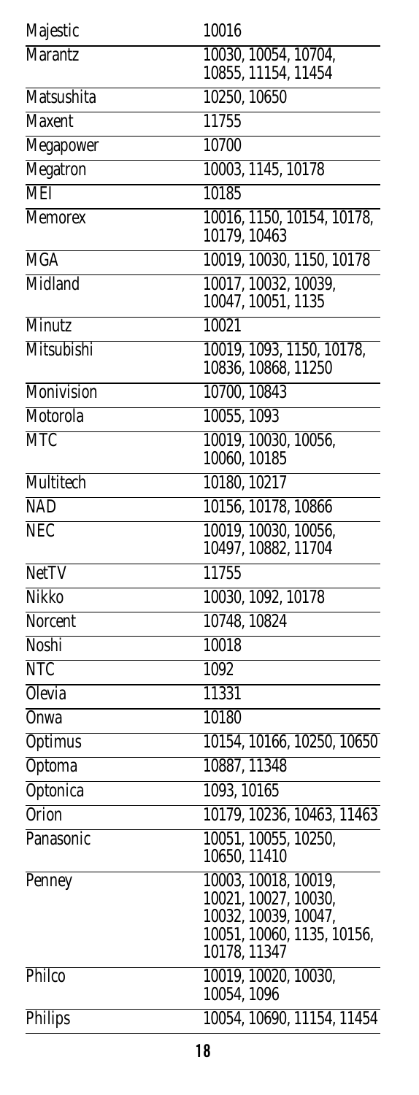| Majestic         | 10016                                                                                              |
|------------------|----------------------------------------------------------------------------------------------------|
| <b>Marantz</b>   | 10030, 10054, 10704,                                                                               |
|                  | 10855, 11154, 11454                                                                                |
| Matsushita       | 10250, 10650                                                                                       |
| <b>Maxent</b>    | 11755                                                                                              |
| Megapower        | 10700                                                                                              |
| Megatron         | 10003, 1145, 10178                                                                                 |
| <b>MEI</b>       | 10185                                                                                              |
| <b>Memorex</b>   | 10016, 1150, 10154, 10178,<br>10179, 10463                                                         |
| <b>MGA</b>       | 10019, 10030, 1150, 10178                                                                          |
| Midland          | 10017, 10032, 10039,<br>10047, 10051, 1135                                                         |
| <b>Minutz</b>    | 10021                                                                                              |
| Mitsubishi       | 10019, 1093, 1150, 10178,<br>10836, 10868, 11250                                                   |
| Monivision       | 10700, 10843                                                                                       |
| Motorola         | 10055, 1093                                                                                        |
| <b>MTC</b>       | 10019, 10030, 10056,                                                                               |
|                  | 10060, 10185                                                                                       |
| <b>Multitech</b> | 10180, 10217                                                                                       |
| <b>NAD</b>       | 10156, 10178, 10866                                                                                |
| <b>NEC</b>       | 10019, 10030, 10056,<br>10497, 10882, 11704                                                        |
| <b>NetTV</b>     | 11755                                                                                              |
| Nikko            | 10030, 1092, 10178                                                                                 |
| Norcent          | 10748, 10824                                                                                       |
| Noshi            | 10018                                                                                              |
| <b>NTC</b>       | 1092                                                                                               |
| <b>Olevia</b>    | 11331                                                                                              |
| Onwa             | 10180                                                                                              |
| <b>Optimus</b>   | 10154, 10166, 10250, 10650                                                                         |
| <b>Optoma</b>    | 10887, 11348                                                                                       |
| Optonica         | 1093, 10165                                                                                        |
| <b>Orion</b>     | 10179, 10236, 10463, 11463                                                                         |
| Panasonic        | 10051, 10055, 10250,<br>10650, 11410                                                               |
| Penney           | 10003, 10018, 10019,<br>10021, 10027, 10030,<br>10032, 10039, 10047,<br>10051, 10060, 1135, 10156, |
| Philco           | 10178, 11347<br>10019, 10020, 10030,<br>10054, 1096                                                |
| Philips          | 10054, 10690, 11154, 11454                                                                         |
|                  |                                                                                                    |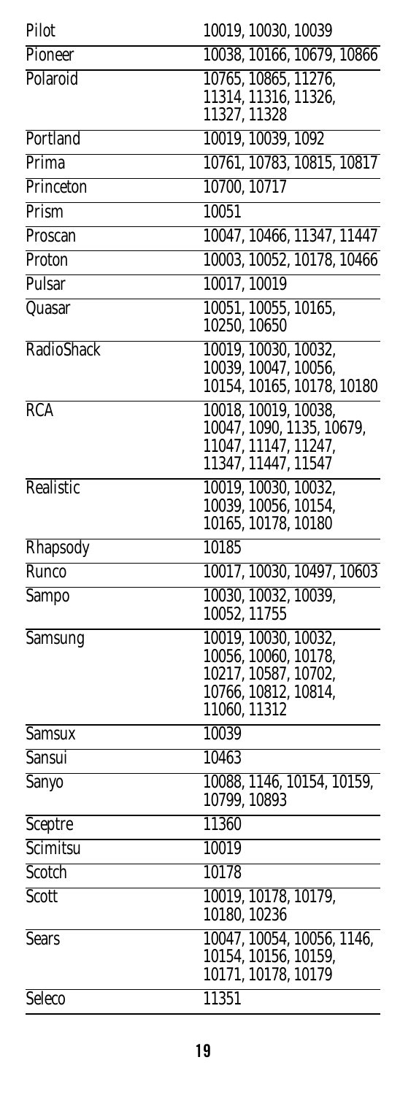| Pilot         | 10019, 10030, 10039                               |
|---------------|---------------------------------------------------|
| Pioneer       | 10038, 10166, 10679, 10866                        |
| Polaroid      | 10765, 10865, 11276,                              |
|               | 11314, 11316, 11326,<br>11327, 11328              |
| Portland      | 10019, 10039, 1092                                |
| Prima         | 10761, 10783, 10815, 10817                        |
| Princeton     | 10700, 10717                                      |
| Prism         | 10051                                             |
| Proscan       | 10047, 10466, 11347, 11447                        |
| Proton        | 10003, 10052, 10178, 10466                        |
| Pulsar        | 10017, 10019                                      |
| Quasar        | 10051, 10055, 10165,                              |
|               | 10250, 10650                                      |
| RadioShack    | 10019, 10030, 10032,                              |
|               | 10039, 10047, 10056,                              |
|               | 10154, 10165, 10178, 10180                        |
| RCA           | 10018, 10019, 10038,                              |
|               | 10047, 1090, 1135, 10679,<br>11047, 11147, 11247, |
|               | 11347, 11447, 11547                               |
| Realistic     | 10019, 10030, 10032,                              |
|               | 10039, 10056, 10154,                              |
|               | 10165, 10178, 10180                               |
| Rhapsody      | 10185                                             |
| Runco         | 10017, 10030, 10497, 10603                        |
| <b>Sampo</b>  | 10030, 10032, 10039,<br>10052, 11755              |
| Samsung       | 10019, 10030, 10032,                              |
|               | 10056, 10060, 10178,                              |
|               | 10217, 10587, 10702,                              |
|               | 10766, 10812, 10814,<br>11060, 11312              |
| <b>Samsux</b> | 10039                                             |
| <b>Sansui</b> | 10463                                             |
| Sanyo         | 10088, 1146, 10154, 10159,                        |
|               | 10799, 10893                                      |
| Sceptre       | 11360                                             |
| Scimitsu      | 10019                                             |
| Scotch        | 10178                                             |
| Scott         | 10019, 10178, 10179,<br>10180, 10236              |
| <b>Sears</b>  | 10047, 10054, 10056, 1146,                        |
|               | 10154, 10156, 10159,                              |
|               | 10171, 10178, 10179                               |
| Seleco        | 11351                                             |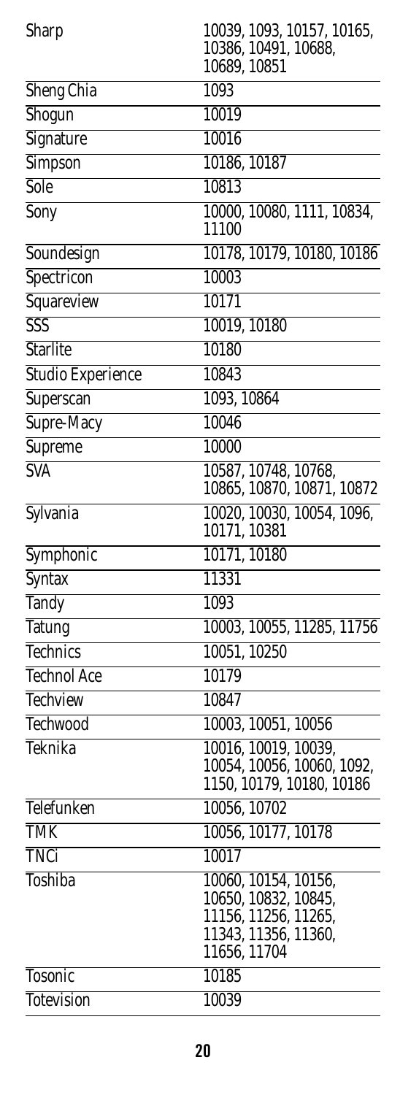| Sharp              | 10039, 1093, 10157, 10165,<br>10386, 10491, 10688,<br>10689, 10851 |
|--------------------|--------------------------------------------------------------------|
| <b>Sheng Chia</b>  | 1093                                                               |
| Shogun             | 10019                                                              |
| Signature          | 10016                                                              |
| Simpson            | 10186, 10187                                                       |
| Sole               | 10813                                                              |
| Sony               | 10000, 10080, 1111, 10834,                                         |
|                    | 11100                                                              |
| Soundesign         | 10178, 10179, 10180, 10186                                         |
| Spectricon         | 10003                                                              |
| Squareview         | 10171                                                              |
| $\overline{SSS}$   | 10019, 10180                                                       |
| <b>Starlite</b>    | 10180                                                              |
| Studio Experience  | 10843                                                              |
| Superscan          | 1093, 10864                                                        |
| Supre-Macy         | 10046                                                              |
| Supreme            | 10000                                                              |
| <b>SVA</b>         | 10587, 10748, 10768,                                               |
|                    | 10865, 10870, 10871, 10872                                         |
| Sylvania           | 10020, 10030, 10054, 1096,                                         |
|                    | 10171, 10381                                                       |
| Symphonic          | 10171, 10180                                                       |
| <b>Syntax</b>      | 11331                                                              |
| <b>Tandy</b>       | 1093                                                               |
| <b>Tatung</b>      | 10003, 10055, 11285, 11756                                         |
| <b>Technics</b>    | 10051, 10250                                                       |
| <b>Technol Ace</b> | 10179                                                              |
| <b>Techview</b>    | 10847                                                              |
| Techwood           | 10003, 10051, 10056                                                |
| Teknika            | 10016, 10019, 10039,<br>10054, 10056, 10060, 1092,                 |
|                    | 1150, 10179, 10180, 10186                                          |
| Telefunken         | 10056, 10702                                                       |
| <b>TMK</b>         | 10056, 10177, 10178                                                |
| TNCi               | 10017                                                              |
| <b>Toshiba</b>     | 10060, 10154, 10156,                                               |
|                    | 10650, 10832, 10845,                                               |
|                    | 11156, 11256, 11265,<br>11343, 11356, 11360,                       |
|                    | 11656, 11704                                                       |
| Tosonic            | 10185                                                              |
| <b>Totevision</b>  | 10039                                                              |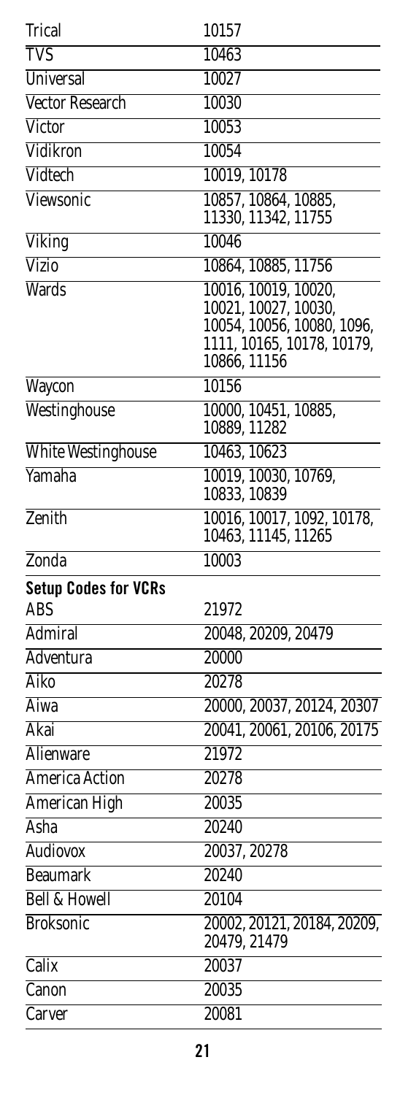<span id="page-20-0"></span>

| Trical                      | 10157                                                                                                                    |
|-----------------------------|--------------------------------------------------------------------------------------------------------------------------|
| <b>TVS</b>                  | 10463                                                                                                                    |
| <b>Universal</b>            | 10027                                                                                                                    |
| <b>Vector Research</b>      | 10030                                                                                                                    |
| <b>Victor</b>               | 10053                                                                                                                    |
| Vidikron                    | 10054                                                                                                                    |
| Vidtech                     | 10019, 10178                                                                                                             |
| Viewsonic                   | 10857, 10864, 10885,<br>11330, 11342, 11755                                                                              |
| Viking                      | 10046                                                                                                                    |
| <b>Vizio</b>                | 10864, 10885, 11756                                                                                                      |
| <b>Wards</b>                | 10016, 10019, 10020,<br>10021, 10027, 10030,<br>10054, 10056, 10080, 1096,<br>1111, 10165, 10178, 10179,<br>10866, 11156 |
| Waycon                      | 10156                                                                                                                    |
| Westinghouse                | 10000, 10451, 10885,<br>10889, 11282                                                                                     |
| <b>White Westinghouse</b>   | 10463, 10623                                                                                                             |
| Yamaha                      | 10019, 10030, 10769,<br>10833, 10839                                                                                     |
| Zenith                      | 10016, 10017, 1092, 10178,<br>10463, 11145, 11265                                                                        |
| Zonda                       | 10003                                                                                                                    |
| <b>Setup Codes for VCRs</b> |                                                                                                                          |
| ABS                         | 21972                                                                                                                    |
| <b>Admiral</b>              | 20048, 20209, 20479                                                                                                      |
| <b>Adventura</b>            | 20000                                                                                                                    |
| Aiko                        | 20278                                                                                                                    |
| Aiwa                        | 20000, 20037, 20124, 20307                                                                                               |
| Akai                        | 20041, 20061, 20106, 20175                                                                                               |
| <b>Alienware</b>            | 21972                                                                                                                    |
| America Action              | 20278                                                                                                                    |
| American High               | 20035                                                                                                                    |
| <b>Asha</b>                 | 20240                                                                                                                    |
| <b>Audiovox</b>             | 20037, 20278                                                                                                             |
| <b>Beaumark</b>             | 20240                                                                                                                    |
| <b>Bell &amp; Howell</b>    | 20104                                                                                                                    |
| <b>Broksonic</b>            | 20002, 20121, 20184, 20209,<br>20479, 21479                                                                              |
| Calix                       | 20037                                                                                                                    |
| Canon                       | 20035                                                                                                                    |
| Carver                      | 20081                                                                                                                    |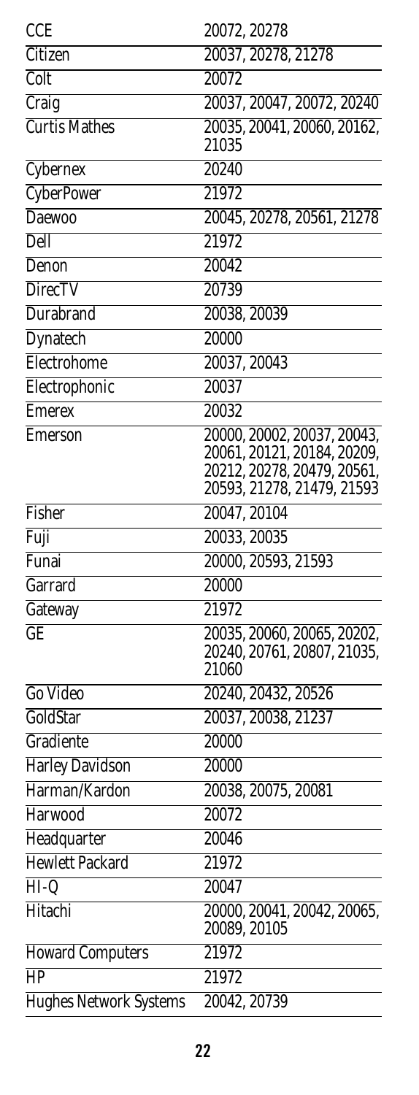| <b>CCE</b>                                 | 20072, 20278                                              |
|--------------------------------------------|-----------------------------------------------------------|
| Citizen                                    | 20037, 20278, 21278                                       |
| Colt                                       | 20072                                                     |
| Craig                                      | 20037, 20047, 20072, 20240                                |
| <b>Curtis Mathes</b>                       | 20035, 20041, 20060, 20162,<br>21035                      |
| Cybernex                                   | 20240                                                     |
| <b>CyberPower</b>                          | $2\overline{1972}$                                        |
| Daewoo                                     | 20045, 20278, 20561, 21278                                |
| <b>Dell</b>                                | 21972                                                     |
| Denon                                      | 20042                                                     |
| <b>DirecTV</b>                             | 20739                                                     |
| Durabrand                                  | 20038, 20039                                              |
| Dynatech                                   | 20000                                                     |
| Electrohome                                | 20037, 20043                                              |
| Electrophonic                              | 20037                                                     |
| <b>Emerex</b>                              | 20032                                                     |
| Emerson                                    | 20000, 20002, 20037, 20043,                               |
|                                            | 20061, 20121, 20184, 20209,                               |
|                                            | 20212, 20278, 20479, 20561,<br>20593, 21278, 21479, 21593 |
| Fisher                                     | 20047, 20104                                              |
| Fuji                                       | 20033, 20035                                              |
| Funai                                      | 20000, 20593, 21593                                       |
| Garrard                                    | 20000                                                     |
| Gateway                                    | 21972                                                     |
| GE                                         | 20035, 20060, 20065, 20202,                               |
|                                            | 20240, 20761, 20807, 21035,                               |
|                                            | 21060                                                     |
| Go Video                                   | 20240, 20432, 20526                                       |
| GoldStar                                   | 20037, 20038, 21237                                       |
| Gradiente                                  | 20000                                                     |
| <b>Harley Davidson</b>                     | 20000                                                     |
| Harman/Kardon                              | 20038, 20075, 20081                                       |
| Harwood                                    | 20072                                                     |
| Headquarter                                | 20046                                                     |
| <b>Hewlett Packard</b>                     | 21972                                                     |
| $\overline{HI-Q}$                          | 20047                                                     |
| Hitachi                                    | 20000, 20041, 20042, 20065,<br>20089, 20105               |
|                                            |                                                           |
| <b>Howard Computers</b><br>$\overline{HP}$ | 21972                                                     |
|                                            | 21972                                                     |
| <b>Hughes Network Systems</b>              | 20042, 20739                                              |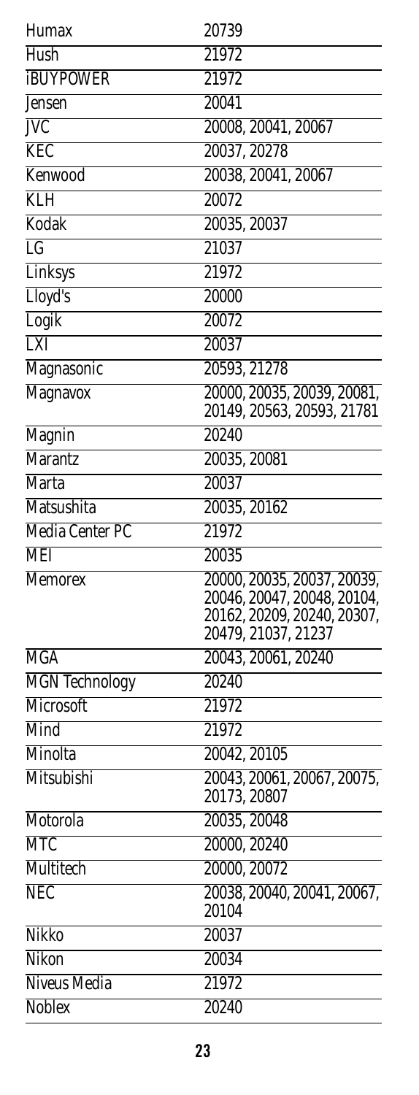| Humax                  | 20739                                                      |
|------------------------|------------------------------------------------------------|
| Hush                   | 21972                                                      |
| <b>iBUYPOWER</b>       | 21972                                                      |
| Jensen                 | 20041                                                      |
| <b>JVC</b>             | 20008, 20041, 20067                                        |
| <b>KEC</b>             | 20037, 20278                                               |
| Kenwood                | 20038, 20041, 20067                                        |
| <b>KLH</b>             | 20072                                                      |
| Kodak                  | 20035, 20037                                               |
| $\overline{\text{LG}}$ | 21037                                                      |
| Linksys                | 21972                                                      |
| Lloyd's                | 20000                                                      |
| Logik                  | 20072                                                      |
| <b>LXI</b>             | 20037                                                      |
| Magnasonic             | 20593, 21278                                               |
| Magnavox               | 20000, 20035, 20039, 20081,                                |
|                        | 20149, 20563, 20593, 21781                                 |
| Magnin                 | 20240                                                      |
| <b>Marantz</b>         | 20035, 20081                                               |
| <b>Marta</b>           | 20037                                                      |
| <b>Matsushita</b>      | 20035, 20162                                               |
| <b>Media Center PC</b> | 21972                                                      |
| <b>MEI</b>             | 20035                                                      |
| <b>Memorex</b>         | 20000, 20035, 20037, 20039,                                |
|                        | 20046, 20047, 20048, 20104,<br>20162, 20209, 20240, 20307, |
|                        | 20479, 21037, 21237                                        |
| <b>MGA</b>             | 20043, 20061, 20240                                        |
| <b>MGN</b> Technology  | 20240                                                      |
| Microsoft              | 21972                                                      |
| Mind                   | 21972                                                      |
| Minolta                | 20042, 20105                                               |
| Mitsubishi             | 20043, 20061, 20067, 20075,                                |
|                        | 20173, 20807                                               |
| Motorola               | 20035, 20048                                               |
| <b>MTC</b>             | 20000, 20240                                               |
| Multitech              | 20000, 20072                                               |
| <b>NEC</b>             | 20038, 20040, 20041, 20067,                                |
|                        | 20104                                                      |
| Nikko                  | 20037                                                      |
| Nikon                  | 20034                                                      |
| Niveus Media           | 21972                                                      |
| <b>Noblex</b>          | 20240                                                      |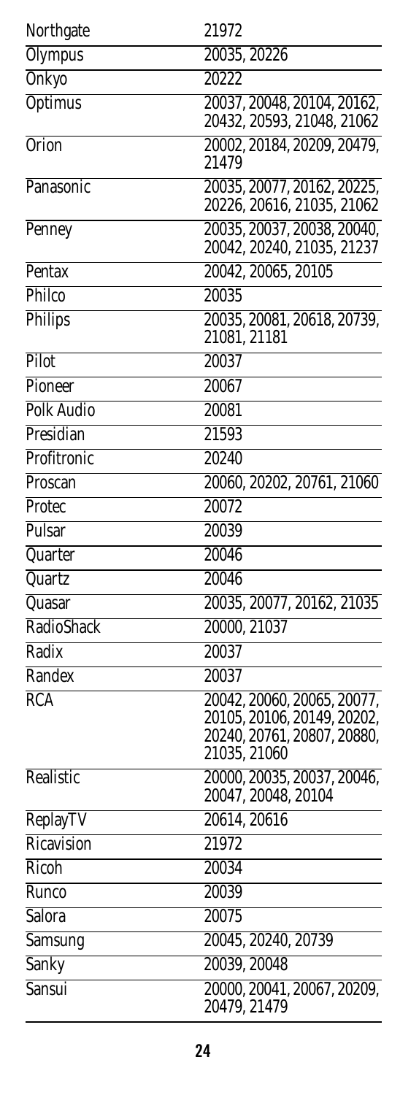| Northgate         | 21972                                                                                                     |
|-------------------|-----------------------------------------------------------------------------------------------------------|
| <b>Olympus</b>    | 20035, 20226                                                                                              |
| <b>Onkyo</b>      | 20222                                                                                                     |
| <b>Optimus</b>    | 20037, 20048, 20104, 20162,<br>20432, 20593, 21048, 21062                                                 |
| <b>Orion</b>      | 20002, 20184, 20209, 20479,                                                                               |
|                   | 21479                                                                                                     |
| Panasonic         | 20035, 20077, 20162, 20225,<br>20226, 20616, 21035, 21062                                                 |
| Penney            | 20035, 20037, 20038, 20040,                                                                               |
|                   | 20042, 20240, 21035, 21237                                                                                |
| Pentax            | 20042, 20065, 20105                                                                                       |
| Philco            | 20035                                                                                                     |
| Philips           | 20035, 20081, 20618, 20739,<br>21081, 21181                                                               |
| Pilot             | 20037                                                                                                     |
| Pioneer           | 20067                                                                                                     |
| <b>Polk Audio</b> | 20081                                                                                                     |
| Presidian         | 21593                                                                                                     |
| Profitronic       | 20240                                                                                                     |
| Proscan           | 20060, 20202, 20761, 21060                                                                                |
| Protec            | 20072                                                                                                     |
| Pulsar            | 20039                                                                                                     |
| Quarter           | 20046                                                                                                     |
| Quartz            | 20046                                                                                                     |
| Quasar            | 20035, 20077, 20162, 21035                                                                                |
| RadioShack        | 20000, 21037                                                                                              |
| Radix             | 20037                                                                                                     |
| Randex            | 20037                                                                                                     |
| RCA               | 20042, 20060, 20065, 20077,<br>20105, 20106, 20149, 20202,<br>20240, 20761, 20807, 20880,<br>21035, 21060 |
| Realistic         | 20000, 20035, 20037, 20046,<br>20047, 20048, 20104                                                        |
| ReplayTV          | 20614, 20616                                                                                              |
| Ricavision        | 21972                                                                                                     |
| Ricoh             | 20034                                                                                                     |
| Runco             | 20039                                                                                                     |
| Salora            | 20075                                                                                                     |
| Samsung           | 20045, 20240, 20739                                                                                       |
| <b>Sanky</b>      | 20039, 20048                                                                                              |
| <b>Sansui</b>     | 20000, 20041, 20067, 20209,<br>20479, 21479                                                               |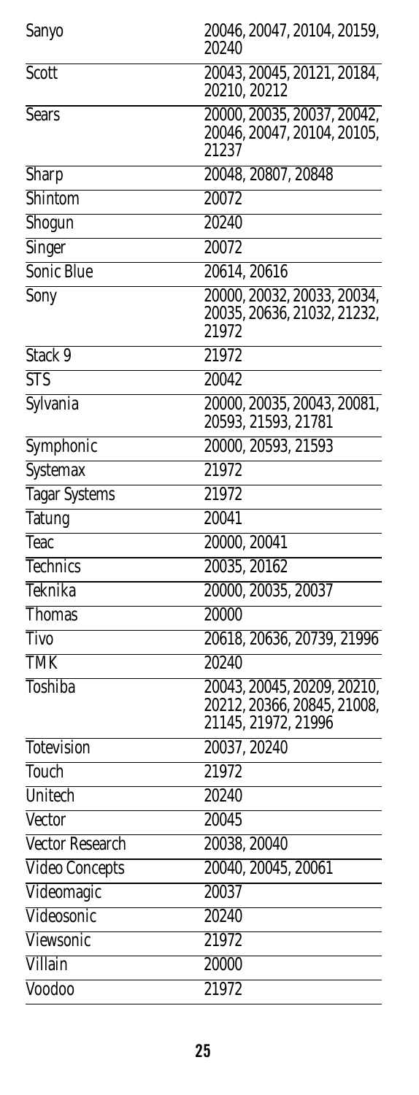| Sanyo                  | 20046, 20047, 20104, 20159,<br>20240                                              |
|------------------------|-----------------------------------------------------------------------------------|
| Scott                  | 20043, 20045, 20121, 20184,<br>20210, 20212                                       |
| <b>Sears</b>           | 20000, 20035, 20037, 20042,<br>20046, 20047, 20104, 20105,<br>21237               |
| Sharp                  | 20048, 20807, 20848                                                               |
| Shintom                | 20072                                                                             |
| Shogun                 | 20240                                                                             |
| Singer                 | 20072                                                                             |
| Sonic Blue             | 20614, 20616                                                                      |
| Sony                   | 20000, 20032, 20033, 20034,<br>20035, 20636, 21032, 21232,<br>21972               |
| Stack 9                | 21972                                                                             |
| <b>STS</b>             | 20042                                                                             |
| Sylvania               | 20000, 20035, 20043, 20081,<br>20593, 21593, 21781                                |
| Symphonic              | 20000, 20593, 21593                                                               |
| Systemax               | 21972                                                                             |
| Tagar Systems          | 21972                                                                             |
| Tatung                 | 20041                                                                             |
| Teac                   | 20000, 20041                                                                      |
| <b>Technics</b>        | 20035, 20162                                                                      |
| Teknika                | 20000, 20035, 20037                                                               |
| <b>Thomas</b>          | 20000                                                                             |
| Tivo                   | 20618, 20636, 20739, 21996                                                        |
| <b>TMK</b>             | 20240                                                                             |
| <b>Toshiba</b>         | 20043, 20045, 20209, 20210,<br>20212, 20366, 20845, 21008,<br>21145, 21972, 21996 |
| <b>Totevision</b>      | 20037, 20240                                                                      |
| Touch                  | 21972                                                                             |
| Unitech                | $\sqrt{20240}$                                                                    |
| Vector                 | 20045                                                                             |
| <b>Vector Research</b> | 20038, 20040                                                                      |
| <b>Video Concepts</b>  | 20040, 20045, 20061                                                               |
| Videomagic             | 20037                                                                             |
| Videosonic             | 20240                                                                             |
| Viewsonic              | 21972                                                                             |
| Villain                | 20000                                                                             |
| Voodoo                 | 21972                                                                             |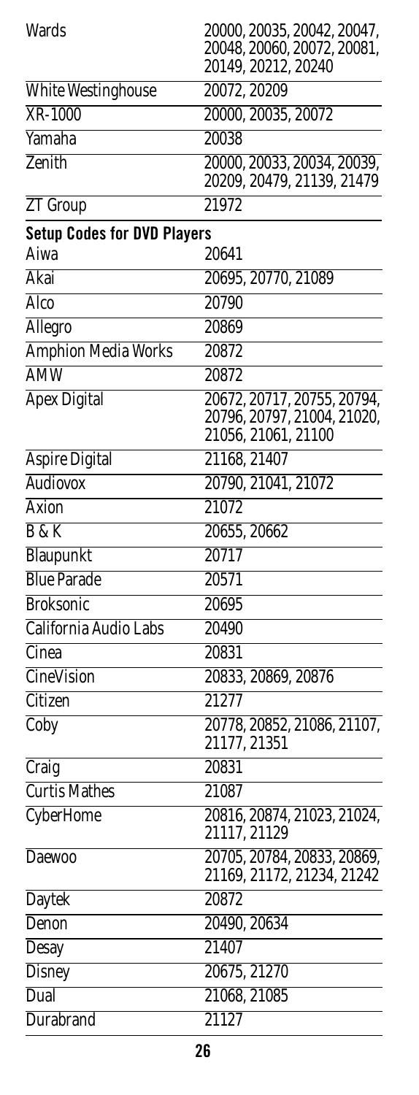<span id="page-25-0"></span>

| <b>Wards</b>                       | 20000, 20035, 20042, 20047,<br>20048, 20060, 20072, 20081,<br>20149, 20212, 20240 |
|------------------------------------|-----------------------------------------------------------------------------------|
| <b>White Westinghouse</b>          | 20072, 20209                                                                      |
| XR-1000                            | 20000, 20035, 20072                                                               |
| Yamaha                             | 20038                                                                             |
| Zenith                             | 20000, 20033, 20034, 20039,<br>20209, 20479, 21139, 21479                         |
| ZT Group                           | 21972                                                                             |
| <b>Setup Codes for DVD Players</b> |                                                                                   |
| Aiwa                               | 20641                                                                             |
| Akai                               | 20695, 20770, 21089                                                               |
| Alco                               | 20790                                                                             |
| Allegro                            | 20869                                                                             |
| <b>Amphion Media Works</b>         | 20872                                                                             |
| <b>AMW</b>                         | 20872                                                                             |
| <b>Apex Digital</b>                | 20672, 20717, 20755, 20794,<br>20796, 20797, 21004, 21020,<br>21056, 21061, 21100 |
| <b>Aspire Digital</b>              | 21168, 21407                                                                      |
| Audiovox                           | 20790, 21041, 21072                                                               |
| Axion                              | 21072                                                                             |
| <b>B</b> & K                       | 20655, 20662                                                                      |
| Blaupunkt                          | 20717                                                                             |
| <b>Blue Parade</b>                 | 20571                                                                             |
| <b>Broksonic</b>                   | 20695                                                                             |
| California Audio Labs              | 20490                                                                             |
| Cinea                              | 20831                                                                             |
| <b>CineVision</b>                  | 20833, 20869, 20876                                                               |
| Citizen                            | 21277                                                                             |
| Coby                               | 20778, 20852, 21086, 21107,<br>21177, 21351                                       |
| Craig                              | 20831                                                                             |
| <b>Curtis Mathes</b>               | 21087                                                                             |
| <b>CyberHome</b>                   | 20816, 20874, 21023, 21024,<br>21117, 21129                                       |
| Daewoo                             | 20705, 20784, 20833, 20869,<br>21169, 21172, 21234, 21242                         |
| Daytek                             | 20872                                                                             |
| Denon                              | 20490, 20634                                                                      |
| Desay                              | 21407                                                                             |
| Disney                             | 20675, 21270                                                                      |
| Dual                               | 21068, 21085                                                                      |
| <b>Durabrand</b>                   | 21127                                                                             |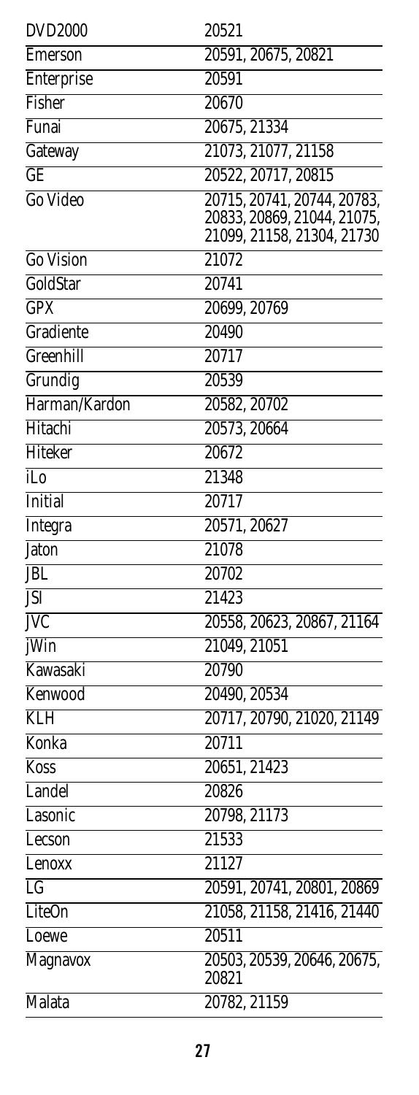| <b>DVD2000</b>         | 20521                                                     |
|------------------------|-----------------------------------------------------------|
| <b>Emerson</b>         | 20591, 20675, 20821                                       |
| Enterprise             | 20591                                                     |
| Fisher                 | 20670                                                     |
| Funai                  | 20675, 21334                                              |
| Gateway                | 21073, 21077, 21158                                       |
| <b>GE</b>              | 20522, 20717, 20815                                       |
| Go Video               | 20715, 20741, 20744, 20783,                               |
|                        | 20833, 20869, 21044, 21075,<br>21099, 21158, 21304, 21730 |
| <b>Go Vision</b>       | 21072                                                     |
| GoldStar               | 20741                                                     |
| GPX                    | 20699, 20769                                              |
| Gradiente              | 20490                                                     |
| Greenhill              | 20717                                                     |
|                        |                                                           |
| Grundig                | 20539                                                     |
| Harman/Kardon          | 20582, 20702                                              |
| Hitachi                | 20573, 20664                                              |
| Hiteker                | 20672                                                     |
| iLo                    | 21348                                                     |
| <b>Initial</b>         | 20717                                                     |
| <b>Integra</b>         | 20571, 20627                                              |
| Jaton                  | 21078                                                     |
| <b>JBL</b>             | 20702                                                     |
| JSI                    | 21423                                                     |
| <b>JVC</b>             | 20558, 20623, 20867, 21164                                |
| iWin                   | 21049, 21051                                              |
| Kawasaki               | 20790                                                     |
| Kenwood                | 20490, 20534                                              |
| KLH                    | 20717, 20790, 21020, 21149                                |
| Konka                  | 20711                                                     |
| Koss                   | 20651, 21423                                              |
| Landel                 | 20826                                                     |
| Lasonic                | 20798, 21173                                              |
| Lecson                 | 21533                                                     |
| Lenoxx                 | 21127                                                     |
| $\overline{\text{LG}}$ | 20591, 20741, 20801, 20869                                |
| LiteOn                 | 21058, 21158, 21416, 21440                                |
| Loewe                  | 20511                                                     |
| <b>Magnavox</b>        | 20503, 20539, 20646, 20675,<br>20821                      |
| Malata                 | 20782, 21159                                              |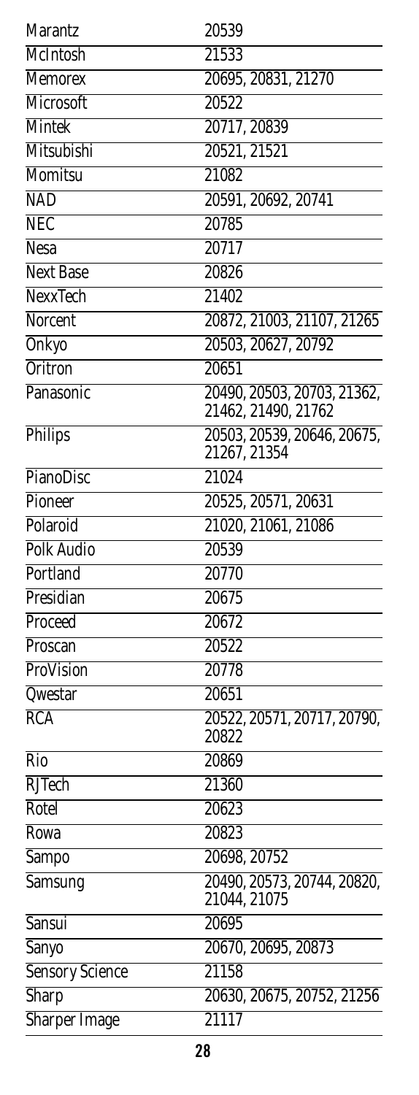| Marantz                | 20539                                       |
|------------------------|---------------------------------------------|
| McIntosh               | 21533                                       |
| <b>Memorex</b>         | 20695, 20831, 21270                         |
| Microsoft              | 20522                                       |
| Mintek                 | 20717, 20839                                |
| Mitsubishi             | 20521, 21521                                |
| Momitsu                | 21082                                       |
| <b>NAD</b>             | 20591, 20692, 20741                         |
| <b>NEC</b>             | 20785                                       |
| <b>Nesa</b>            | 20717                                       |
| <b>Next Base</b>       | 20826                                       |
| <b>NexxTech</b>        | 21402                                       |
| Norcent                | 20872, 21003, 21107, 21265                  |
| Onkyo                  | 20503, 20627, 20792                         |
| <b>Oritron</b>         | 20651                                       |
| Panasonic              | 20490, 20503, 20703, 21362,                 |
|                        | 21462, 21490, 21762                         |
| Philips                | 20503, 20539, 20646, 20675,<br>21267, 21354 |
| <b>PianoDisc</b>       | 21024                                       |
| Pioneer                | 20525, 20571, 20631                         |
| Polaroid               | 21020, 21061, 21086                         |
| <b>Polk Audio</b>      | 20539                                       |
| Portland               | 20770                                       |
| Presidian              | 20675                                       |
| Proceed                | 20672                                       |
| Proscan                | 20522                                       |
| ProVision              | 20778                                       |
| Qwestar                | 20651                                       |
| RCA                    | 20522, 20571, 20717, 20790,<br>20822        |
| Rio                    | 20869                                       |
| <b>RJTech</b>          | 21360                                       |
| Rotel                  | 20623                                       |
| Rowa                   | 20823                                       |
| Sampo                  | 20698, 20752                                |
| <b>Samsung</b>         | 20490, 20573, 20744, 20820,<br>21044, 21075 |
| <b>Sansui</b>          | 20695                                       |
| <b>Sanyo</b>           | 20670, 20695, 20873                         |
| <b>Sensory Science</b> | 21158                                       |
| <b>Sharp</b>           | 20630, 20675, 20752, 21256                  |
| <b>Sharper Image</b>   | 21117                                       |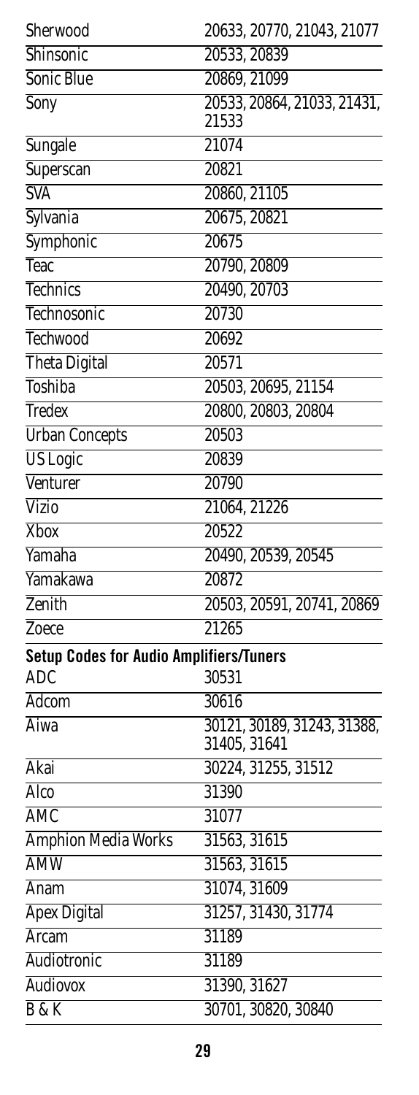<span id="page-28-0"></span>

| Sherwood                                                     | 20633, 20770, 21043, 21077                  |
|--------------------------------------------------------------|---------------------------------------------|
| Shinsonic                                                    | 20533, 20839                                |
| Sonic Blue                                                   | 20869, 21099                                |
| Sony                                                         | 20533, 20864, 21033, 21431,<br>21533        |
| Sungale                                                      | 21074                                       |
| Superscan                                                    | 20821                                       |
| <b>SVA</b>                                                   | 20860, 21105                                |
| Sylvania                                                     | 20675, 20821                                |
| Symphonic                                                    | 20675                                       |
| Teac                                                         | 20790, 20809                                |
| <b>Technics</b>                                              | 20490, 20703                                |
| Technosonic                                                  | 20730                                       |
| <b>Techwood</b>                                              | 20692                                       |
| <b>Theta Digital</b>                                         | 20571                                       |
| <b>Toshiba</b>                                               | 20503, 20695, 21154                         |
| <b>Tredex</b>                                                | 20800, 20803, 20804                         |
| <b>Urban Concepts</b>                                        | 20503                                       |
| <b>US</b> Logic                                              | 20839                                       |
| Venturer                                                     | 20790                                       |
| <b>Vizio</b>                                                 | 21064, 21226                                |
| <b>Xbox</b>                                                  | 20522                                       |
| Yamaha                                                       | 20490, 20539, 20545                         |
| Yamakawa                                                     | 20872                                       |
| Zenith                                                       | 20503, 20591, 20741, 20869                  |
| Zoece                                                        | 21265                                       |
| <b>Setup Codes for Audio Amplifiers/Tuners</b><br><b>ADC</b> | 30531                                       |
| Adcom                                                        | 30616                                       |
| Aiwa                                                         | 30121, 30189, 31243, 31388,<br>31405, 31641 |
| Akai                                                         | 30224, 31255, 31512                         |
| Alco                                                         | 31390                                       |
| AMC                                                          | 31077                                       |
| <b>Amphion Media Works</b>                                   | 31563, 31615                                |
| <b>AMW</b>                                                   | 31563, 31615                                |
| Anam                                                         | 31074, 31609                                |
| <b>Apex Digital</b>                                          | 31257, 31430, 31774                         |
| Arcam                                                        | 31189                                       |
| Audiotronic                                                  | 31189                                       |
| <b>Audiovox</b>                                              | 31390, 31627                                |
| B & K                                                        | 30701, 30820, 30840                         |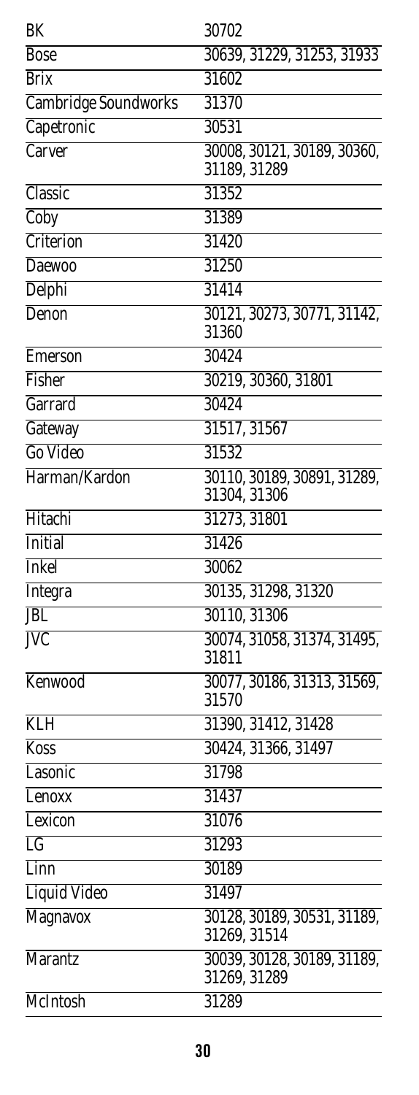| BK                      | 30702                                       |
|-------------------------|---------------------------------------------|
| <b>Bose</b>             | 30639, 31229, 31253, 31933                  |
| <b>Brix</b>             | 31602                                       |
| Cambridge Soundworks    | 31370                                       |
| Capetronic              | 30531                                       |
| Carver                  | 30008, 30121, 30189, 30360,<br>31189, 31289 |
| Classic                 | 31352                                       |
| Coby                    | 31389                                       |
| Criterion               | 31420                                       |
| Daewoo                  | 31250                                       |
| <b>Delphi</b>           | 31414                                       |
| <b>Denon</b>            | 30121, 30273, 30771, 31142,<br>31360        |
| Emerson                 | 30424                                       |
| Fisher                  | 30219, 30360, 31801                         |
| Garrard                 | 30424                                       |
| Gateway                 | 31517, 31567                                |
| Go Video                | 31532                                       |
| Harman/Kardon           | 30110, 30189, 30891, 31289,<br>31304, 31306 |
| Hitachi                 | 31273, 31801                                |
| Initial                 | 31426                                       |
| <b>Inkel</b>            | 30062                                       |
| Integra                 | 30135, 31298, 31320                         |
| <b>JBL</b>              | 30110, 31306                                |
| $\overline{\text{IVC}}$ | 30074, 31058, 31374, 31495,<br>31811        |
| Kenwood                 | 30077, 30186, 31313, 31569,<br>31570        |
| <b>KLH</b>              | 31390, 31412, 31428                         |
| Koss                    | 30424, 31366, 31497                         |
| Lasonic                 | 31798                                       |
| Lenoxx                  | 31437                                       |
| Lexicon                 | 31076                                       |
| LG                      | 31293                                       |
| Linn                    | 30189                                       |
| Liquid Video            | 31497                                       |
| Magnavox                | 30128, 30189, 30531, 31189,<br>31269, 31514 |
| <b>Marantz</b>          | 30039, 30128, 30189, 31189,<br>31269, 31289 |
| McIntosh                | 31289                                       |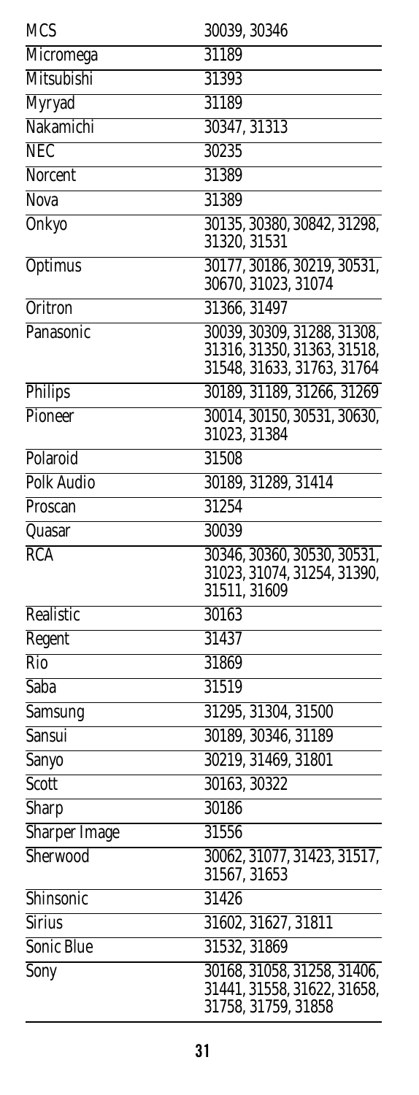| <b>MCS</b>           | 30039, 30346                                               |
|----------------------|------------------------------------------------------------|
| Micromega            | 31189                                                      |
| Mitsubishi           | 31393                                                      |
| Myryad               | 31189                                                      |
| Nakamichi            | 30347, 31313                                               |
| <b>NEC</b>           | 30235                                                      |
| Norcent              | 31389                                                      |
| <b>Nova</b>          | 31389                                                      |
| Onkyo                | 30135, 30380, 30842, 31298,                                |
|                      | 31320, 31531                                               |
| Optimus              | 30177, 30186, 30219, 30531,<br>30670, 31023, 31074         |
| <b>Oritron</b>       | 31366, 31497                                               |
| Panasonic            | 30039, 30309, 31288, 31308,                                |
|                      | 31316, 31350, 31363, 31518,                                |
|                      | 31548, 31633, 31763, 31764                                 |
| Philips              | 30189, 31189, 31266, 31269                                 |
| Pioneer              | 30014, 30150, 30531, 30630,                                |
|                      | 31023, 31384                                               |
| Polaroid             | 31508                                                      |
| <b>Polk Audio</b>    | 30189, 31289, 31414                                        |
| Proscan              | 31254                                                      |
| Quasar               | 30039                                                      |
| RCA                  | 30346, 30360, 30530, 30531,<br>31023, 31074, 31254, 31390, |
|                      | 31511, 31609                                               |
| Realistic            | 30163                                                      |
| Regent               | 31437                                                      |
| $\overline{Rio}$     | 31869                                                      |
| <b>Saba</b>          | 31519                                                      |
| Samsung              | 31295, 31304, 31500                                        |
| Sansui               | 30189, 30346, 31189                                        |
| Sanyo                | 30219, 31469, 31801                                        |
| <b>Scott</b>         | 30163, 30322                                               |
| Sharp                | 30186                                                      |
| <b>Sharper Image</b> | 31556                                                      |
| Sherwood             | 30062, 31077, 31423, 31517,                                |
|                      | 31567, 31653                                               |
| Shinsonic            | 31426                                                      |
| Sirius               | 31602, 31627, 31811                                        |
| Sonic Blue           | 31532, 31869                                               |
| Sony                 | 30168, 31058, 31258, 31406,<br>31441, 31558, 31622, 31658, |
|                      | 31758, 31759, 31858                                        |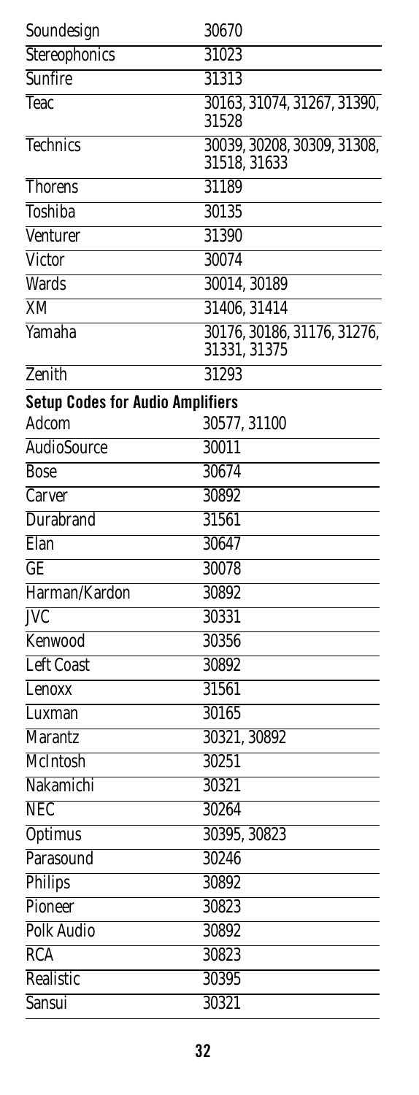<span id="page-31-0"></span>

| Soundesign                              | 30670                                       |
|-----------------------------------------|---------------------------------------------|
| Stereophonics                           | 31023                                       |
| Sunfire                                 | 31313                                       |
| Teac                                    | 30163, 31074, 31267, 31390,<br>31528        |
| Technics                                | 30039, 30208, 30309, 31308,<br>31518, 31633 |
| <b>Thorens</b>                          | 31189                                       |
| Toshiba                                 | 30135                                       |
| Venturer                                | 31390                                       |
| Victor                                  | 30074                                       |
| Wards                                   | 30014, 30189                                |
| XM                                      | 31406, 31414                                |
| Yamaha                                  | 30176, 30186, 31176, 31276,<br>31331, 31375 |
| Zenith                                  | 31293                                       |
| <b>Setup Codes for Audio Amplifiers</b> |                                             |
| Adcom                                   | 30577, 31100                                |
| <b>AudioSource</b>                      | 30011                                       |
| <b>Bose</b>                             | 30674                                       |
| Carver                                  | 30892                                       |
| <b>Durabrand</b>                        | 31561                                       |
| Elan                                    | 30647                                       |
| GE                                      | 30078                                       |
| Harman/Kardon                           | 30892                                       |
| <b>JVC</b>                              | 30331                                       |
| Kenwood                                 | 30356                                       |
| <b>Left Coast</b>                       | 30892                                       |
| Lenoxx                                  | 31561                                       |
| Luxman                                  | 30165                                       |
| <b>Marantz</b>                          | 30321, 30892                                |
| McIntosh                                | 30251                                       |
| Nakamichi                               | 30321                                       |
| <b>NEC</b>                              | 30264                                       |
| <b>Optimus</b>                          | 30395, 30823                                |
| Parasound                               | 30246                                       |
| <b>Philips</b>                          | 30892                                       |
| Pioneer                                 | 30823                                       |
| <b>Polk Audio</b>                       | 30892                                       |
| <b>RCA</b>                              | 30823                                       |
| Realistic                               | 30395                                       |
| Sansui                                  | 30321                                       |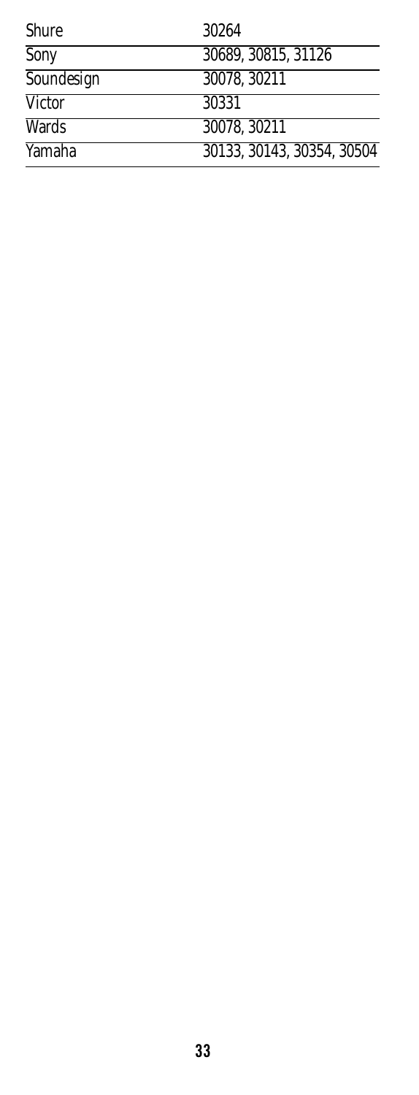| <b>Shure</b>  | 30264                      |
|---------------|----------------------------|
| Sony          | 30689, 30815, 31126        |
| Soundesign    | 30078, 30211               |
| <b>Victor</b> | 30331                      |
| <b>Wards</b>  | 30078.30211                |
| Yamaha        | 30133, 30143, 30354, 30504 |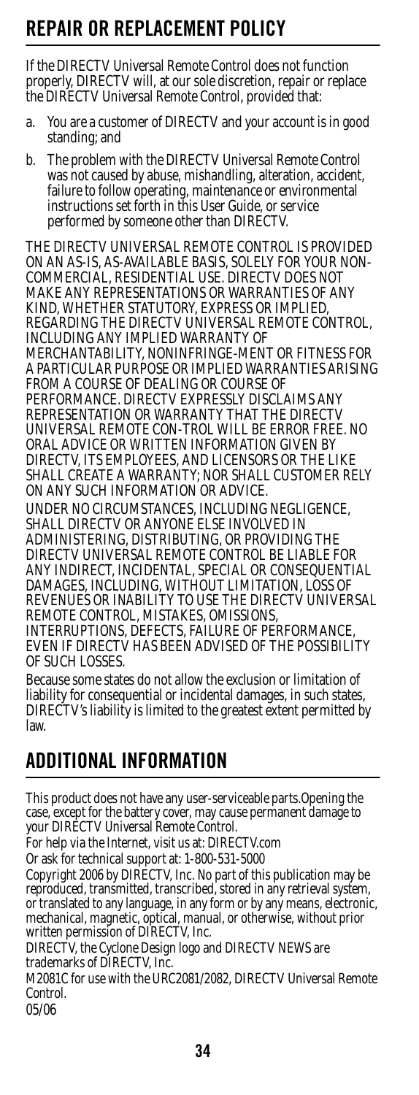## <span id="page-33-0"></span>**REPAIR OR REPLACEMENT POLICY**

If the DIRECTV Universal Remote Control does not function properly, DIRECTV will, at our sole discretion, repair or replace the DIRECTV Universal Remote Control, provided that:

- a. You are a customer of DIRECTV and your account is in good standing; and
- b. The problem with the DIRECTV Universal Remote Control was not caused by abuse, mishandling, alteration, accident, failure to follow operating, maintenance or environmental instructions set forth in this User Guide, or service performed by someone other than DIRECTV.

THE DIRECTV UNIVERSAL REMOTE CONTROL IS PROVIDED ON AN AS-IS, AS-AVAILABLE BASIS, SOLELY FOR YOUR NON-COMMERCIAL, RESIDENTIAL USE. DIRECTV DOES NOT MAKE ANY REPRESENTATIONS OR WARRANTIES OF ANY KIND, WHETHER STATUTORY, EXPRESS OR IMPLIED, REGARDING THE DIRECTV UNIVERSAL REMOTE CONTROL, INCLUDING ANY IMPLIED WARRANTY OF MERCHANTABILITY, NONINFRINGE-MENT OR FITNESS FOR A PARTICULAR PURPOSE OR IMPLIED WARRANTIES ARISING FROM A COURSE OF DEALING OR COURSE OF PERFORMANCE. DIRECTV EXPRESSLY DISCLAIMS ANY REPRESENTATION OR WARRANTY THAT THE DIRECTV UNIVERSAL REMOTE CON-TROL WILL BE ERROR FREE. NO ORAL ADVICE OR WRITTEN INFORMATION GIVEN BY DIRECTV, ITS EMPLOYEES, AND LICENSORS OR THE LIKE SHALL CREATE A WARRANTY; NOR SHALL CUSTOMER RELY ON ANY SUCH INFORMATION OR ADVICE. UNDER NO CIRCUMSTANCES, INCLUDING NEGLIGENCE, SHALL DIRECTV OR ANYONE ELSE INVOLVED IN ADMINISTERING, DISTRIBUTING, OR PROVIDING THE DIRECTV UNIVERSAL REMOTE CONTROL BE LIABLE FOR ANY INDIRECT, INCIDENTAL, SPECIAL OR CONSEQUENTIAL DAMAGES, INCLUDING, WITHOUT LIMITATION, LOSS OF REVENUES OR INABILITY TO USE THE DIRECTV UNIVERSAL REMOTE CONTROL, MISTAKES, OMISSIONS,

INTERRUPTIONS, DEFECTS, FAILURE OF PERFORMANCE, EVEN IF DIRECTV HAS BEEN ADVISED OF THE POSSIBILITY OF SUCH LOSSES.

Because some states do not allow the exclusion or limitation of liability for consequential or incidental damages, in such states, DIRECTV's liability is limited to the greatest extent permitted by law.

### <span id="page-33-1"></span>**ADDITIONAL INFORMATION**

This product does not have any user-serviceable parts.Opening the case, except for the battery cover, may cause permanent damage to your DIRECTV Universal Remote Control.

For help via the Internet, visit us at: DIRECTV.com

Or ask for technical support at: 1-800-531-5000

Copyright 2006 by DIRECTV, Inc. No part of this publication may be reproduced, transmitted, transcribed, stored in any retrieval system, or translated to any language, in any form or by any means, electronic, mechanical, magnetic, optical, manual, or otherwise, without prior written permission of DIRECTV, Inc.

DIRECTV, the Cyclone Design logo and DIRECTV NEWS are trademarks of DIRECTV, Inc.

M2081C for use with the URC2081/2082, DIRECTV Universal Remote Control.

05/06